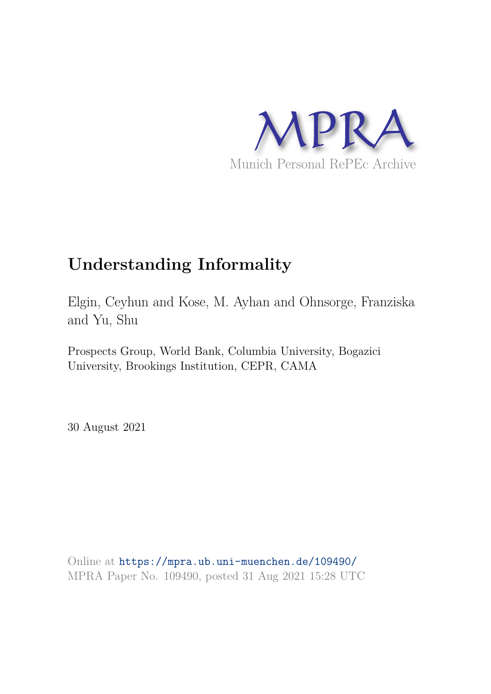

# **Understanding Informality**

Elgin, Ceyhun and Kose, M. Ayhan and Ohnsorge, Franziska and Yu, Shu

Prospects Group, World Bank, Columbia University, Bogazici University, Brookings Institution, CEPR, CAMA

30 August 2021

Online at https://mpra.ub.uni-muenchen.de/109490/ MPRA Paper No. 109490, posted 31 Aug 2021 15:28 UTC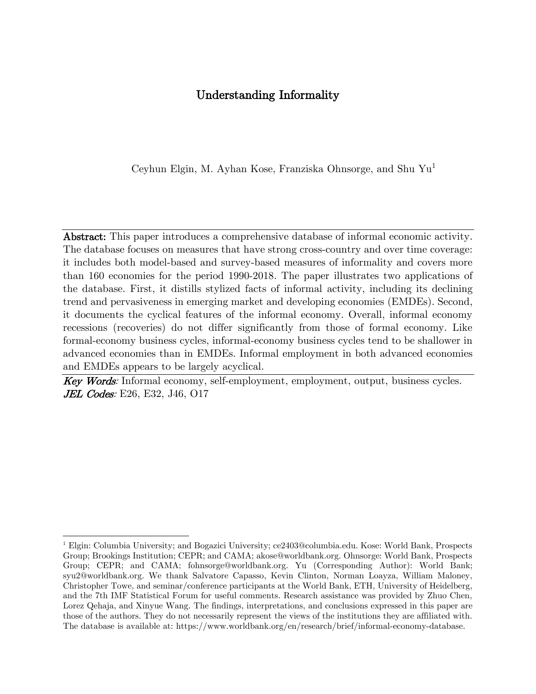# Understanding Informality

Ceyhun Elgin, M. Ayhan Kose, Franziska Ohnsorge, and Shu Yu<sup>1</sup>

Abstract: This paper introduces a comprehensive database of informal economic activity. The database focuses on measures that have strong cross-country and over time coverage: it includes both model-based and survey-based measures of informality and covers more than 160 economies for the period 1990-2018. The paper illustrates two applications of the database. First, it distills stylized facts of informal activity, including its declining trend and pervasiveness in emerging market and developing economies (EMDEs). Second, it documents the cyclical features of the informal economy. Overall, informal economy recessions (recoveries) do not differ significantly from those of formal economy. Like formal-economy business cycles, informal-economy business cycles tend to be shallower in advanced economies than in EMDEs. Informal employment in both advanced economies and EMDEs appears to be largely acyclical.

Key Words: Informal economy, self-employment, employment, output, business cycles. **JEL Codes**: E26, E32, J46, O17

<sup>1</sup> Elgin: Columbia University; and Bogazici University; ce2403@columbia.edu. Kose: World Bank, Prospects Group; Brookings Institution; CEPR; and CAMA; akose@worldbank.org. Ohnsorge: World Bank, Prospects Group; CEPR; and CAMA; fohnsorge@worldbank.org. Yu (Corresponding Author): World Bank; syu2@worldbank.org. We thank Salvatore Capasso, Kevin Clinton, Norman Loayza, William Maloney, Christopher Towe, and seminar/conference participants at the World Bank, ETH, University of Heidelberg, and the 7th IMF Statistical Forum for useful comments. Research assistance was provided by Zhuo Chen, Lorez Qehaja, and Xinyue Wang. The findings, interpretations, and conclusions expressed in this paper are those of the authors. They do not necessarily represent the views of the institutions they are affiliated with. The database is available at: [https://www.worldbank.org/en/research/brief/informal-economy-database.](https://www.worldbank.org/en/research/brief/informal-economy-database)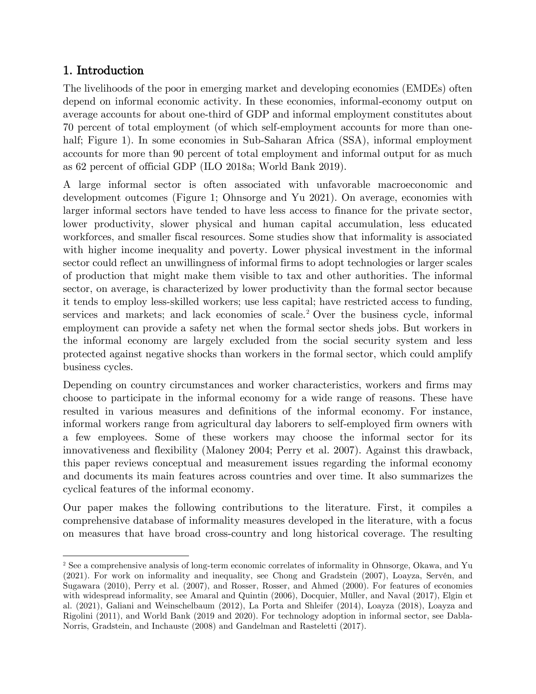# 1. Introduction

The livelihoods of the poor in emerging market and developing economies (EMDEs) often depend on informal economic activity. In these economies, informal-economy output on average accounts for about one-third of GDP and informal employment constitutes about 70 percent of total employment (of which self-employment accounts for more than onehalf; Figure 1). In some economies in Sub-Saharan Africa (SSA), informal employment accounts for more than 90 percent of total employment and informal output for as much as 62 percent of official GDP (ILO 2018a; World Bank 2019).

A large informal sector is often associated with unfavorable macroeconomic and development outcomes (Figure 1; Ohnsorge and Yu 2021). On average, economies with larger informal sectors have tended to have less access to finance for the private sector, lower productivity, slower physical and human capital accumulation, less educated workforces, and smaller fiscal resources. Some studies show that informality is associated with higher income inequality and poverty. Lower physical investment in the informal sector could reflect an unwillingness of informal firms to adopt technologies or larger scales of production that might make them visible to tax and other authorities. The informal sector, on average, is characterized by lower productivity than the formal sector because it tends to employ less-skilled workers; use less capital; have restricted access to funding, services and markets; and lack economies of scale.<sup>2</sup> Over the business cycle, informal employment can provide a safety net when the formal sector sheds jobs. But workers in the informal economy are largely excluded from the social security system and less protected against negative shocks than workers in the formal sector, which could amplify business cycles.

Depending on country circumstances and worker characteristics, workers and firms may choose to participate in the informal economy for a wide range of reasons. These have resulted in various measures and definitions of the informal economy. For instance, informal workers range from agricultural day laborers to self-employed firm owners with a few employees. Some of these workers may choose the informal sector for its innovativeness and flexibility (Maloney 2004; Perry et al. 2007). Against this drawback, this paper reviews conceptual and measurement issues regarding the informal economy and documents its main features across countries and over time. It also summarizes the cyclical features of the informal economy.

Our paper makes the following contributions to the literature. First, it compiles a comprehensive database of informality measures developed in the literature, with a focus on measures that have broad cross-country and long historical coverage. The resulting

<sup>2</sup> See a comprehensive analysis of long-term economic correlates of informality in Ohnsorge, Okawa, and Yu (2021). For work on informality and inequality, see Chong and Gradstein (2007), Loayza, Servén, and Sugawara (2010), Perry et al. (2007), and Rosser, Rosser, and Ahmed (2000). For features of economies with widespread informality, see Amaral and Quintin (2006), Docquier, Müller, and Naval (2017), Elgin et al. (2021), Galiani and Weinschelbaum (2012), La Porta and Shleifer (2014), Loayza (2018), Loayza and Rigolini (2011), and World Bank (2019 and 2020). For technology adoption in informal sector, see Dabla-Norris, Gradstein, and Inchauste (2008) and Gandelman and Rasteletti (2017).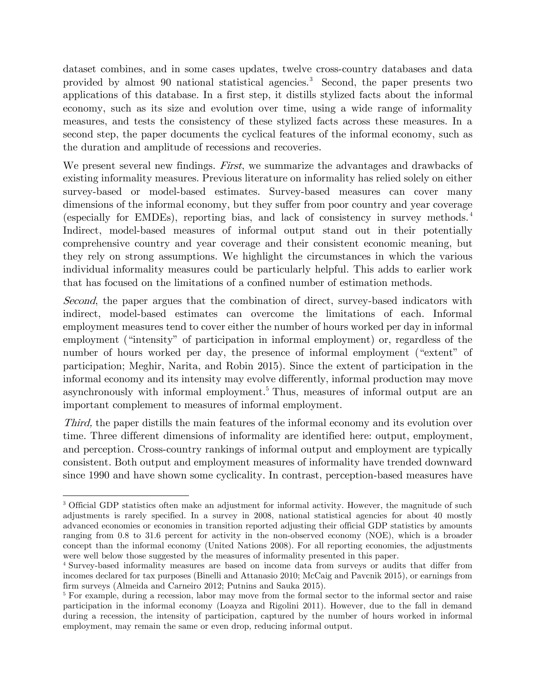dataset combines, and in some cases updates, twelve cross-country databases and data provided by almost 90 national statistical agencies.<sup>3</sup> Second, the paper presents two applications of this database. In a first step, it distills stylized facts about the informal economy, such as its size and evolution over time, using a wide range of informality measures, and tests the consistency of these stylized facts across these measures. In a second step, the paper documents the cyclical features of the informal economy, such as the duration and amplitude of recessions and recoveries.

We present several new findings. First, we summarize the advantages and drawbacks of existing informality measures. Previous literature on informality has relied solely on either survey-based or model-based estimates. Survey-based measures can cover many dimensions of the informal economy, but they suffer from poor country and year coverage (especially for EMDEs), reporting bias, and lack of consistency in survey methods. <sup>4</sup> Indirect, model-based measures of informal output stand out in their potentially comprehensive country and year coverage and their consistent economic meaning, but they rely on strong assumptions. We highlight the circumstances in which the various individual informality measures could be particularly helpful. This adds to earlier work that has focused on the limitations of a confined number of estimation methods.

Second, the paper argues that the combination of direct, survey-based indicators with indirect, model-based estimates can overcome the limitations of each. Informal employment measures tend to cover either the number of hours worked per day in informal employment ("intensity" of participation in informal employment) or, regardless of the number of hours worked per day, the presence of informal employment ("extent" of participation; Meghir, Narita, and Robin 2015). Since the extent of participation in the informal economy and its intensity may evolve differently, informal production may move asynchronously with informal employment.<sup>5</sup> Thus, measures of informal output are an important complement to measures of informal employment.

Third, the paper distills the main features of the informal economy and its evolution over time. Three different dimensions of informality are identified here: output, employment, and perception. Cross-country rankings of informal output and employment are typically consistent. Both output and employment measures of informality have trended downward since 1990 and have shown some cyclicality. In contrast, perception-based measures have

<sup>&</sup>lt;sup>3</sup> Official GDP statistics often make an adjustment for informal activity. However, the magnitude of such adjustments is rarely specified. In a survey in 2008, national statistical agencies for about 40 mostly advanced economies or economies in transition reported adjusting their official GDP statistics by amounts ranging from 0.8 to 31.6 percent for activity in the non-observed economy (NOE), which is a broader concept than the informal economy (United Nations 2008). For all reporting economies, the adjustments were well below those suggested by the measures of informality presented in this paper.

<sup>4</sup> Survey-based informality measures are based on income data from surveys or audits that differ from incomes declared for tax purposes (Binelli and Attanasio 2010; McCaig and Pavcnik 2015), or earnings from firm surveys (Almeida and Carneiro 2012; Putnins and Sauka 2015).

<sup>&</sup>lt;sup>5</sup> For example, during a recession, labor may move from the formal sector to the informal sector and raise participation in the informal economy (Loayza and Rigolini 2011). However, due to the fall in demand during a recession, the intensity of participation, captured by the number of hours worked in informal employment, may remain the same or even drop, reducing informal output.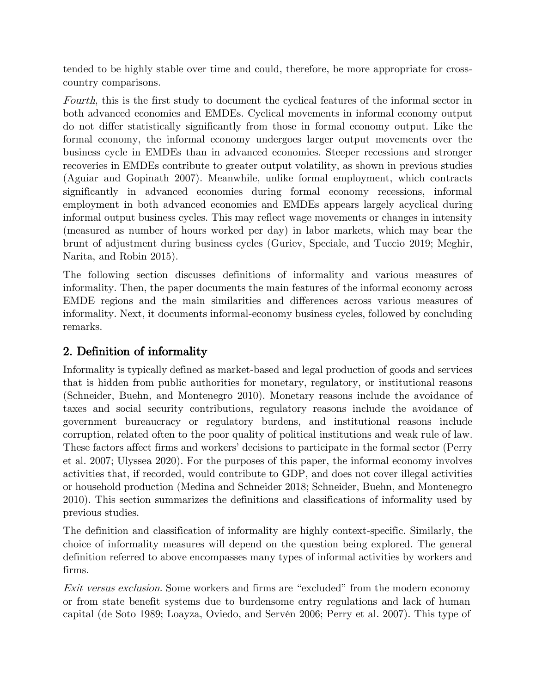tended to be highly stable over time and could, therefore, be more appropriate for crosscountry comparisons.

Fourth, this is the first study to document the cyclical features of the informal sector in both advanced economies and EMDEs. Cyclical movements in informal economy output do not differ statistically significantly from those in formal economy output. Like the formal economy, the informal economy undergoes larger output movements over the business cycle in EMDEs than in advanced economies. Steeper recessions and stronger recoveries in EMDEs contribute to greater output volatility, as shown in previous studies (Aguiar and Gopinath 2007). Meanwhile, unlike formal employment, which contracts significantly in advanced economies during formal economy recessions, informal employment in both advanced economies and EMDEs appears largely acyclical during informal output business cycles. This may reflect wage movements or changes in intensity (measured as number of hours worked per day) in labor markets, which may bear the brunt of adjustment during business cycles (Guriev, Speciale, and Tuccio 2019; Meghir, Narita, and Robin 2015).

The following section discusses definitions of informality and various measures of informality. Then, the paper documents the main features of the informal economy across EMDE regions and the main similarities and differences across various measures of informality. Next, it documents informal-economy business cycles, followed by concluding remarks.

# 2. Definition of informality

Informality is typically defined as market-based and legal production of goods and services that is hidden from public authorities for monetary, regulatory, or institutional reasons (Schneider, Buehn, and Montenegro 2010). Monetary reasons include the avoidance of taxes and social security contributions, regulatory reasons include the avoidance of government bureaucracy or regulatory burdens, and institutional reasons include corruption, related often to the poor quality of political institutions and weak rule of law. These factors affect firms and workers' decisions to participate in the formal sector (Perry et al. 2007; Ulyssea 2020). For the purposes of this paper, the informal economy involves activities that, if recorded, would contribute to GDP, and does not cover illegal activities or household production (Medina and Schneider 2018; Schneider, Buehn, and Montenegro 2010). This section summarizes the definitions and classifications of informality used by previous studies.

The definition and classification of informality are highly context-specific. Similarly, the choice of informality measures will depend on the question being explored. The general definition referred to above encompasses many types of informal activities by workers and firms.

Exit versus exclusion. Some workers and firms are "excluded" from the modern economy or from state benefit systems due to burdensome entry regulations and lack of human capital (de Soto 1989; Loayza, Oviedo, and Servén 2006; Perry et al. 2007). This type of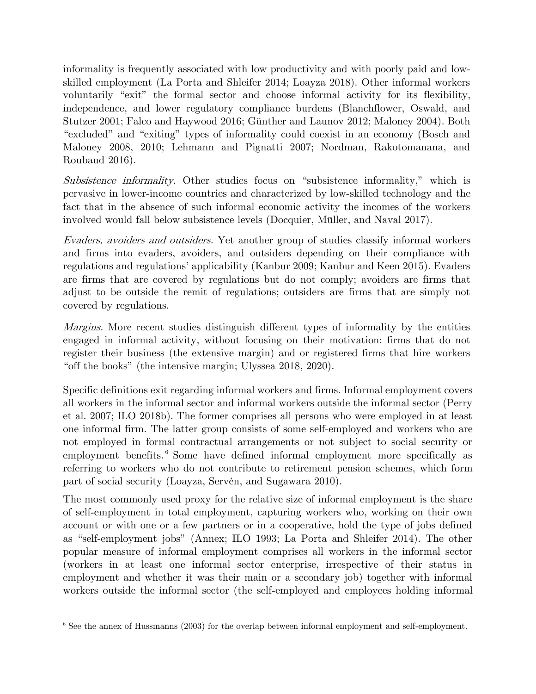informality is frequently associated with low productivity and with poorly paid and lowskilled employment (La Porta and Shleifer 2014; Loayza 2018). Other informal workers voluntarily "exit" the formal sector and choose informal activity for its flexibility, independence, and lower regulatory compliance burdens (Blanchflower, Oswald, and Stutzer 2001; Falco and Haywood 2016; Günther and Launov 2012; Maloney 2004). Both "excluded" and "exiting" types of informality could coexist in an economy (Bosch and Maloney 2008, 2010; Lehmann and Pignatti 2007; Nordman, Rakotomanana, and Roubaud 2016).

Subsistence informality. Other studies focus on "subsistence informality," which is pervasive in lower-income countries and characterized by low-skilled technology and the fact that in the absence of such informal economic activity the incomes of the workers involved would fall below subsistence levels (Docquier, Müller, and Naval 2017).

Evaders, avoiders and outsiders. Yet another group of studies classify informal workers and firms into evaders, avoiders, and outsiders depending on their compliance with regulations and regulations' applicability (Kanbur 2009; Kanbur and Keen 2015). Evaders are firms that are covered by regulations but do not comply; avoiders are firms that adjust to be outside the remit of regulations; outsiders are firms that are simply not covered by regulations.

Margins. More recent studies distinguish different types of informality by the entities engaged in informal activity, without focusing on their motivation: firms that do not register their business (the extensive margin) and or registered firms that hire workers "off the books" (the intensive margin; Ulyssea 2018, 2020).

Specific definitions exit regarding informal workers and firms. Informal employment covers all workers in the informal sector and informal workers outside the informal sector (Perry et al. 2007; ILO 2018b). The former comprises all persons who were employed in at least one informal firm. The latter group consists of some self-employed and workers who are not employed in formal contractual arrangements or not subject to social security or employment benefits.<sup>6</sup> Some have defined informal employment more specifically as referring to workers who do not contribute to retirement pension schemes, which form part of social security (Loayza, Servén, and Sugawara 2010).

The most commonly used proxy for the relative size of informal employment is the share of self-employment in total employment, capturing workers who, working on their own account or with one or a few partners or in a cooperative, hold the type of jobs defined as "self-employment jobs" (Annex; ILO 1993; La Porta and Shleifer 2014). The other popular measure of informal employment comprises all workers in the informal sector (workers in at least one informal sector enterprise, irrespective of their status in employment and whether it was their main or a secondary job) together with informal workers outside the informal sector (the self-employed and employees holding informal

<sup>&</sup>lt;sup>6</sup> See the annex of Hussmanns (2003) for the overlap between informal employment and self-employment.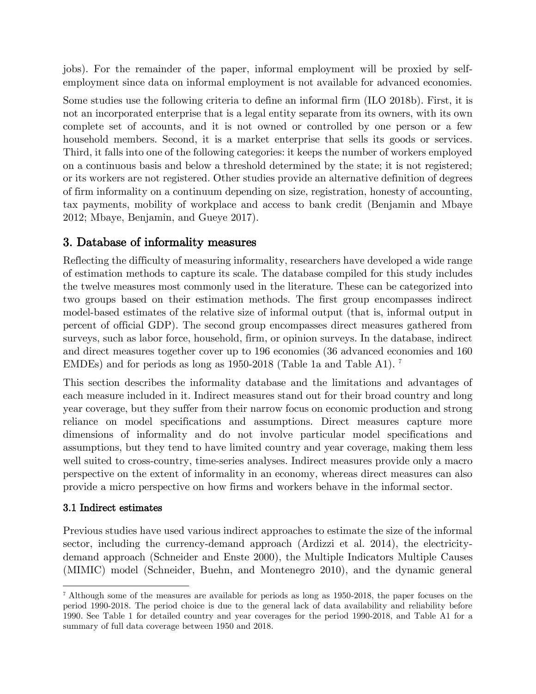jobs). For the remainder of the paper, informal employment will be proxied by selfemployment since data on informal employment is not available for advanced economies.

Some studies use the following criteria to define an informal firm (ILO 2018b). First, it is not an incorporated enterprise that is a legal entity separate from its owners, with its own complete set of accounts, and it is not owned or controlled by one person or a few household members. Second, it is a market enterprise that sells its goods or services. Third, it falls into one of the following categories: it keeps the number of workers employed on a continuous basis and below a threshold determined by the state; it is not registered; or its workers are not registered. Other studies provide an alternative definition of degrees of firm informality on a continuum depending on size, registration, honesty of accounting, tax payments, mobility of workplace and access to bank credit (Benjamin and Mbaye 2012; Mbaye, Benjamin, and Gueye 2017).

# 3. Database of informality measures

Reflecting the difficulty of measuring informality, researchers have developed a wide range of estimation methods to capture its scale. The database compiled for this study includes the twelve measures most commonly used in the literature. These can be categorized into two groups based on their estimation methods. The first group encompasses indirect model-based estimates of the relative size of informal output (that is, informal output in percent of official GDP). The second group encompasses direct measures gathered from surveys, such as labor force, household, firm, or opinion surveys. In the database, indirect and direct measures together cover up to 196 economies (36 advanced economies and 160 EMDEs) and for periods as long as 1950-2018 (Table 1a and Table A1). 7

This section describes the informality database and the limitations and advantages of each measure included in it. Indirect measures stand out for their broad country and long year coverage, but they suffer from their narrow focus on economic production and strong reliance on model specifications and assumptions. Direct measures capture more dimensions of informality and do not involve particular model specifications and assumptions, but they tend to have limited country and year coverage, making them less well suited to cross-country, time-series analyses. Indirect measures provide only a macro perspective on the extent of informality in an economy, whereas direct measures can also provide a micro perspective on how firms and workers behave in the informal sector.

# 3.1 Indirect estimates

Previous studies have used various indirect approaches to estimate the size of the informal sector, including the currency-demand approach (Ardizzi et al. 2014), the electricitydemand approach (Schneider and Enste 2000), the Multiple Indicators Multiple Causes (MIMIC) model (Schneider, Buehn, and Montenegro 2010), and the dynamic general

<sup>&</sup>lt;sup>7</sup> Although some of the measures are available for periods as long as 1950-2018, the paper focuses on the period 1990-2018. The period choice is due to the general lack of data availability and reliability before 1990. See Table 1 for detailed country and year coverages for the period 1990-2018, and Table A1 for a summary of full data coverage between 1950 and 2018.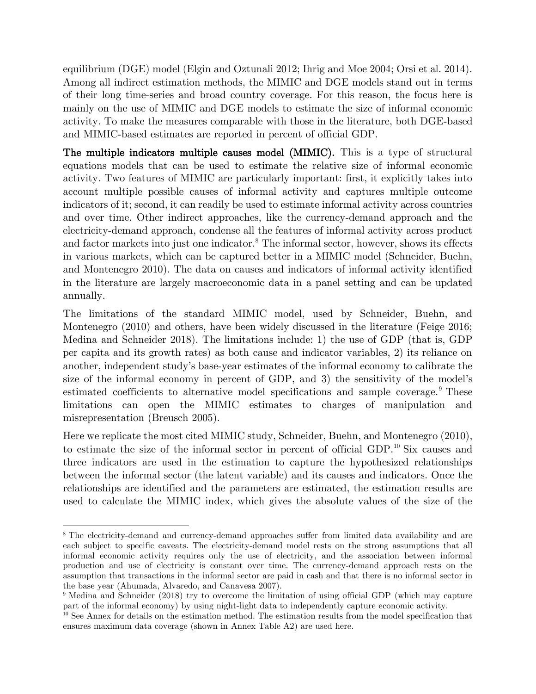equilibrium (DGE) model (Elgin and Oztunali 2012; Ihrig and Moe 2004; Orsi et al. 2014). Among all indirect estimation methods, the MIMIC and DGE models stand out in terms of their long time-series and broad country coverage. For this reason, the focus here is mainly on the use of MIMIC and DGE models to estimate the size of informal economic activity. To make the measures comparable with those in the literature, both DGE-based and MIMIC-based estimates are reported in percent of official GDP.

The multiple indicators multiple causes model (MIMIC). This is a type of structural equations models that can be used to estimate the relative size of informal economic activity. Two features of MIMIC are particularly important: first, it explicitly takes into account multiple possible causes of informal activity and captures multiple outcome indicators of it; second, it can readily be used to estimate informal activity across countries and over time. Other indirect approaches, like the currency-demand approach and the electricity-demand approach, condense all the features of informal activity across product and factor markets into just one indicator.<sup>8</sup> The informal sector, however, shows its effects in various markets, which can be captured better in a MIMIC model (Schneider, Buehn, and Montenegro 2010). The data on causes and indicators of informal activity identified in the literature are largely macroeconomic data in a panel setting and can be updated annually.

The limitations of the standard MIMIC model, used by Schneider, Buehn, and Montenegro (2010) and others, have been widely discussed in the literature (Feige 2016; Medina and Schneider 2018). The limitations include: 1) the use of GDP (that is, GDP per capita and its growth rates) as both cause and indicator variables, 2) its reliance on another, independent study's base-year estimates of the informal economy to calibrate the size of the informal economy in percent of GDP, and 3) the sensitivity of the model's estimated coefficients to alternative model specifications and sample coverage.<sup>9</sup> These limitations can open the MIMIC estimates to charges of manipulation and misrepresentation (Breusch 2005).

Here we replicate the most cited MIMIC study, Schneider, Buehn, and Montenegro (2010), to estimate the size of the informal sector in percent of official GDP.<sup>10</sup> Six causes and three indicators are used in the estimation to capture the hypothesized relationships between the informal sector (the latent variable) and its causes and indicators. Once the relationships are identified and the parameters are estimated, the estimation results are used to calculate the MIMIC index, which gives the absolute values of the size of the

<sup>&</sup>lt;sup>8</sup> The electricity-demand and currency-demand approaches suffer from limited data availability and are each subject to specific caveats. The electricity-demand model rests on the strong assumptions that all informal economic activity requires only the use of electricity, and the association between informal production and use of electricity is constant over time. The currency-demand approach rests on the assumption that transactions in the informal sector are paid in cash and that there is no informal sector in the base year (Ahumada, Alvaredo, and Canavesa 2007).

<sup>9</sup> Medina and Schneider (2018) try to overcome the limitation of using official GDP (which may capture part of the informal economy) by using night-light data to independently capture economic activity.

<sup>&</sup>lt;sup>10</sup> See Annex for details on the estimation method. The estimation results from the model specification that ensures maximum data coverage (shown in Annex Table A2) are used here.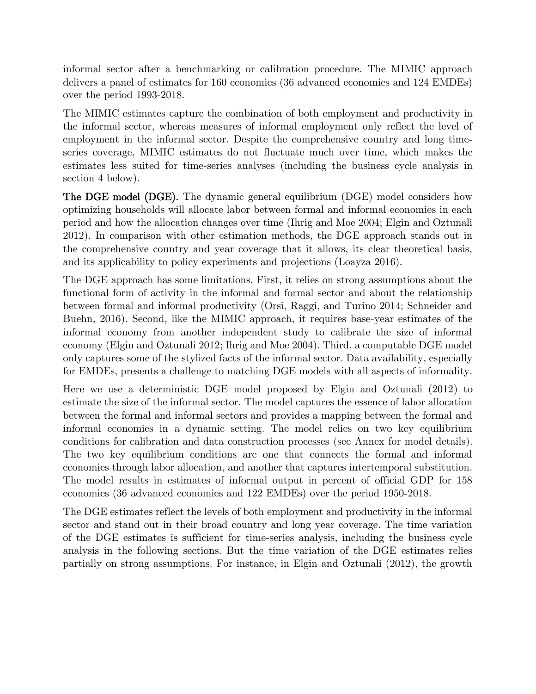informal sector after a benchmarking or calibration procedure. The MIMIC approach delivers a panel of estimates for 160 economies (36 advanced economies and 124 EMDEs) over the period 1993-2018.

The MIMIC estimates capture the combination of both employment and productivity in the informal sector, whereas measures of informal employment only reflect the level of employment in the informal sector. Despite the comprehensive country and long timeseries coverage, MIMIC estimates do not fluctuate much over time, which makes the estimates less suited for time-series analyses (including the business cycle analysis in section 4 below).

The DGE model (DGE). The dynamic general equilibrium (DGE) model considers how optimizing households will allocate labor between formal and informal economies in each period and how the allocation changes over time (Ihrig and Moe 2004; Elgin and Oztunali 2012). In comparison with other estimation methods, the DGE approach stands out in the comprehensive country and year coverage that it allows, its clear theoretical basis, and its applicability to policy experiments and projections (Loayza 2016).

The DGE approach has some limitations. First, it relies on strong assumptions about the functional form of activity in the informal and formal sector and about the relationship between formal and informal productivity (Orsi, Raggi, and Turino 2014; Schneider and Buehn, 2016). Second, like the MIMIC approach, it requires base-year estimates of the informal economy from another independent study to calibrate the size of informal economy (Elgin and Oztunali 2012; Ihrig and Moe 2004). Third, a computable DGE model only captures some of the stylized facts of the informal sector. Data availability, especially for EMDEs, presents a challenge to matching DGE models with all aspects of informality.

Here we use a deterministic DGE model proposed by Elgin and Oztunali (2012) to estimate the size of the informal sector. The model captures the essence of labor allocation between the formal and informal sectors and provides a mapping between the formal and informal economies in a dynamic setting. The model relies on two key equilibrium conditions for calibration and data construction processes (see Annex for model details). The two key equilibrium conditions are one that connects the formal and informal economies through labor allocation, and another that captures intertemporal substitution. The model results in estimates of informal output in percent of official GDP for 158 economies (36 advanced economies and 122 EMDEs) over the period 1950-2018.

The DGE estimates reflect the levels of both employment and productivity in the informal sector and stand out in their broad country and long year coverage. The time variation of the DGE estimates is sufficient for time-series analysis, including the business cycle analysis in the following sections. But the time variation of the DGE estimates relies partially on strong assumptions. For instance, in Elgin and Oztunali (2012), the growth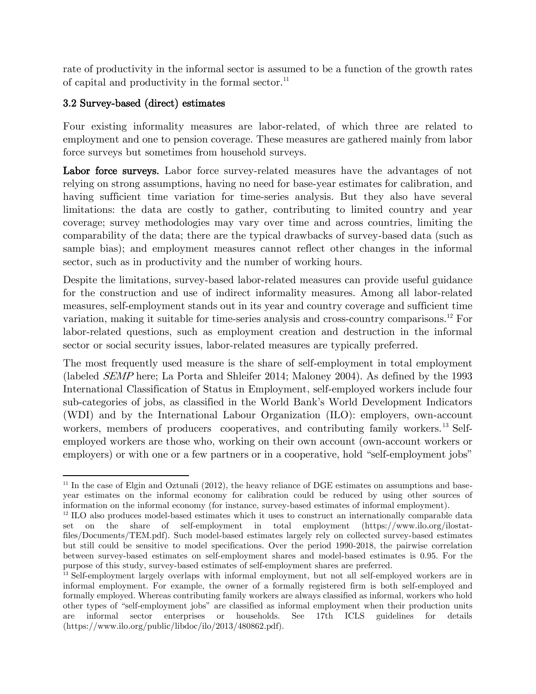rate of productivity in the informal sector is assumed to be a function of the growth rates of capital and productivity in the formal sector. $^{11}$ 

# 3.2 Survey-based (direct) estimates

Four existing informality measures are labor-related, of which three are related to employment and one to pension coverage. These measures are gathered mainly from labor force surveys but sometimes from household surveys.

Labor force surveys. Labor force survey-related measures have the advantages of not relying on strong assumptions, having no need for base-year estimates for calibration, and having sufficient time variation for time-series analysis. But they also have several limitations: the data are costly to gather, contributing to limited country and year coverage; survey methodologies may vary over time and across countries, limiting the comparability of the data; there are the typical drawbacks of survey-based data (such as sample bias); and employment measures cannot reflect other changes in the informal sector, such as in productivity and the number of working hours.

Despite the limitations, survey-based labor-related measures can provide useful guidance for the construction and use of indirect informality measures. Among all labor-related measures, self-employment stands out in its year and country coverage and sufficient time variation, making it suitable for time-series analysis and cross-country comparisons.<sup>12</sup> For labor-related questions, such as employment creation and destruction in the informal sector or social security issues, labor-related measures are typically preferred.

The most frequently used measure is the share of self-employment in total employment (labeled SEMP here; La Porta and Shleifer 2014; Maloney 2004). As defined by the 1993 International Classification of Status in Employment, self-employed workers include four sub-categories of jobs, as classified in the World Bank's World Development Indicators (WDI) and by the International Labour Organization (ILO): employers, own-account workers, members of producers' cooperatives, and contributing family workers.<sup>13</sup> Selfemployed workers are those who, working on their own account (own-account workers or employers) or with one or a few partners or in a cooperative, hold "self-employment jobs"

 $11$  In the case of Elgin and Oztunali (2012), the heavy reliance of DGE estimates on assumptions and baseyear estimates on the informal economy for calibration could be reduced by using other sources of information on the informal economy (for instance, survey-based estimates of informal employment).

<sup>&</sup>lt;sup>12</sup> ILO also produces model-based estimates which it uses to construct an internationally comparable data set on the share of self-employment in total employment (https://www.ilo.org/ilostatfiles/Documents/TEM.pdf). Such model-based estimates largely rely on collected survey-based estimates but still could be sensitive to model specifications. Over the period 1990-2018, the pairwise correlation between survey-based estimates on self-employment shares and model-based estimates is 0.95. For the purpose of this study, survey-based estimates of self-employment shares are preferred.

<sup>&</sup>lt;sup>13</sup> Self-employment largely overlaps with informal employment, but not all self-employed workers are in informal employment. For example, the owner of a formally registered firm is both self-employed and formally employed. Whereas contributing family workers are always classified as informal, workers who hold other types of "self-employment jobs" are classified as informal employment when their production units are informal sector enterprises or households. See 17th ICLS guidelines for details (https://www.ilo.org/public/libdoc/ilo/2013/480862.pdf).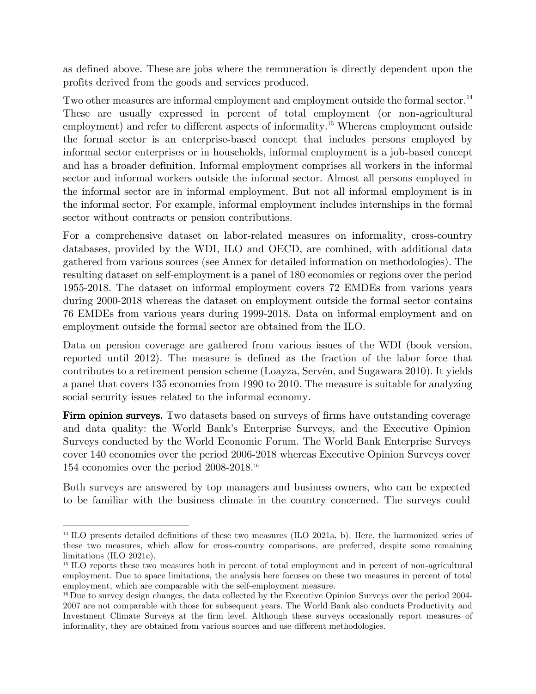as defined above. These are jobs where the remuneration is directly dependent upon the profits derived from the goods and services produced.

Two other measures are informal employment and employment outside the formal sector.<sup>14</sup> These are usually expressed in percent of total employment (or non-agricultural employment) and refer to different aspects of informality.<sup>15</sup> Whereas employment outside the formal sector is an enterprise-based concept that includes persons employed by informal sector enterprises or in households, informal employment is a job-based concept and has a broader definition. Informal employment comprises all workers in the informal sector and informal workers outside the informal sector. Almost all persons employed in the informal sector are in informal employment. But not all informal employment is in the informal sector. For example, informal employment includes internships in the formal sector without contracts or pension contributions.

For a comprehensive dataset on labor-related measures on informality, cross-country databases, provided by the WDI, ILO and OECD, are combined, with additional data gathered from various sources (see Annex for detailed information on methodologies). The resulting dataset on self-employment is a panel of 180 economies or regions over the period 1955-2018. The dataset on informal employment covers 72 EMDEs from various years during 2000-2018 whereas the dataset on employment outside the formal sector contains 76 EMDEs from various years during 1999-2018. Data on informal employment and on employment outside the formal sector are obtained from the ILO.

Data on pension coverage are gathered from various issues of the WDI (book version, reported until 2012). The measure is defined as the fraction of the labor force that contributes to a retirement pension scheme (Loayza, Servén, and Sugawara 2010). It yields a panel that covers 135 economies from 1990 to 2010. The measure is suitable for analyzing social security issues related to the informal economy.

Firm opinion surveys. Two datasets based on surveys of firms have outstanding coverage and data quality: the World Bank's Enterprise Surveys, and the Executive Opinion Surveys conducted by the World Economic Forum. The World Bank Enterprise Surveys cover 140 economies over the period 2006-2018 whereas Executive Opinion Surveys cover 154 economies over the period 2008-2018.<sup>16</sup>

Both surveys are answered by top managers and business owners, who can be expected to be familiar with the business climate in the country concerned. The surveys could

<sup>&</sup>lt;sup>14</sup> ILO presents detailed definitions of these two measures (ILO 2021a, b). Here, the harmonized series of these two measures, which allow for cross-country comparisons, are preferred, despite some remaining limitations (ILO 2021c).

<sup>&</sup>lt;sup>15</sup> ILO reports these two measures both in percent of total employment and in percent of non-agricultural employment. Due to space limitations, the analysis here focuses on these two measures in percent of total employment, which are comparable with the self-employment measure.

<sup>&</sup>lt;sup>16</sup> Due to survey design changes, the data collected by the Executive Opinion Surveys over the period 2004-2007 are not comparable with those for subsequent years. The World Bank also conducts Productivity and Investment Climate Surveys at the firm level. Although these surveys occasionally report measures of informality, they are obtained from various sources and use different methodologies.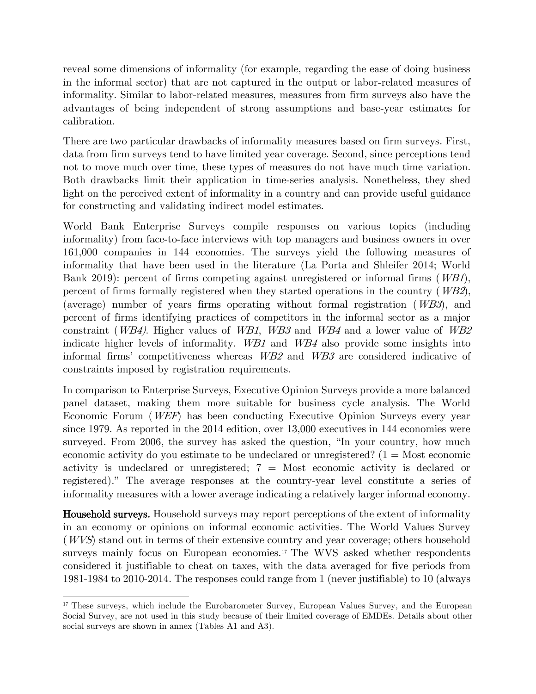reveal some dimensions of informality (for example, regarding the ease of doing business in the informal sector) that are not captured in the output or labor-related measures of informality. Similar to labor-related measures, measures from firm surveys also have the advantages of being independent of strong assumptions and base-year estimates for calibration.

There are two particular drawbacks of informality measures based on firm surveys. First, data from firm surveys tend to have limited year coverage. Second, since perceptions tend not to move much over time, these types of measures do not have much time variation. Both drawbacks limit their application in time-series analysis. Nonetheless, they shed light on the perceived extent of informality in a country and can provide useful guidance for constructing and validating indirect model estimates.

World Bank Enterprise Surveys compile responses on various topics (including informality) from face-to-face interviews with top managers and business owners in over 161,000 companies in 144 economies. The surveys yield the following measures of informality that have been used in the literature (La Porta and Shleifer 2014; World Bank 2019): percent of firms competing against unregistered or informal firms (WB1), percent of firms formally registered when they started operations in the country  $(WB2)$ , (average) number of years firms operating without formal registration (WB3), and percent of firms identifying practices of competitors in the informal sector as a major constraint (WB4). Higher values of WB1, WB3 and WB4 and a lower value of WB2 indicate higher levels of informality. WB1 and WB4 also provide some insights into informal firms' competitiveness whereas WB2 and WB3 are considered indicative of constraints imposed by registration requirements.

In comparison to Enterprise Surveys, Executive Opinion Surveys provide a more balanced panel dataset, making them more suitable for business cycle analysis. The World Economic Forum (WEF) has been conducting Executive Opinion Surveys every year since 1979. As reported in the 2014 edition, over 13,000 executives in 144 economies were surveyed. From 2006, the survey has asked the question, "In your country, how much economic activity do you estimate to be undeclared or unregistered?  $(1 = Most economic$ activity is undeclared or unregistered;  $7 =$  Most economic activity is declared or registered)." The average responses at the country-year level constitute a series of informality measures with a lower average indicating a relatively larger informal economy.

Household surveys. Household surveys may report perceptions of the extent of informality in an economy or opinions on informal economic activities. The World Values Survey (WVS) stand out in terms of their extensive country and year coverage; others household surveys mainly focus on European economies.<sup>17</sup> The WVS asked whether respondents considered it justifiable to cheat on taxes, with the data averaged for five periods from 1981-1984 to 2010-2014. The responses could range from 1 (never justifiable) to 10 (always

<sup>&</sup>lt;sup>17</sup> These surveys, which include the Eurobarometer Survey, European Values Survey, and the European Social Survey, are not used in this study because of their limited coverage of EMDEs. Details about other social surveys are shown in annex (Tables A1 and A3).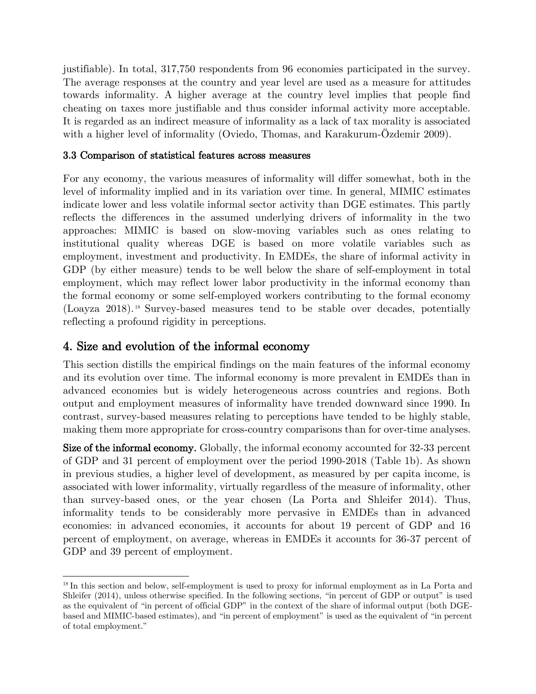justifiable). In total, 317,750 respondents from 96 economies participated in the survey. The average responses at the country and year level are used as a measure for attitudes towards informality. A higher average at the country level implies that people find cheating on taxes more justifiable and thus consider informal activity more acceptable. It is regarded as an indirect measure of informality as a lack of tax morality is associated with a higher level of informality (Oviedo, Thomas, and Karakurum-Özdemir 2009).

## 3.3 Comparison of statistical features across measures

For any economy, the various measures of informality will differ somewhat, both in the level of informality implied and in its variation over time. In general, MIMIC estimates indicate lower and less volatile informal sector activity than DGE estimates. This partly reflects the differences in the assumed underlying drivers of informality in the two approaches: MIMIC is based on slow-moving variables such as ones relating to institutional quality whereas DGE is based on more volatile variables such as employment, investment and productivity. In EMDEs, the share of informal activity in GDP (by either measure) tends to be well below the share of self-employment in total employment, which may reflect lower labor productivity in the informal economy than the formal economy or some self-employed workers contributing to the formal economy (Loayza 2018). <sup>18</sup> Survey-based measures tend to be stable over decades, potentially reflecting a profound rigidity in perceptions.

# 4. Size and evolution of the informal economy

This section distills the empirical findings on the main features of the informal economy and its evolution over time. The informal economy is more prevalent in EMDEs than in advanced economies but is widely heterogeneous across countries and regions. Both output and employment measures of informality have trended downward since 1990. In contrast, survey-based measures relating to perceptions have tended to be highly stable, making them more appropriate for cross-country comparisons than for over-time analyses.

Size of the informal economy. Globally, the informal economy accounted for 32-33 percent of GDP and 31 percent of employment over the period 1990-2018 (Table 1b). As shown in previous studies, a higher level of development, as measured by per capita income, is associated with lower informality, virtually regardless of the measure of informality, other than survey-based ones, or the year chosen (La Porta and Shleifer 2014). Thus, informality tends to be considerably more pervasive in EMDEs than in advanced economies: in advanced economies, it accounts for about 19 percent of GDP and 16 percent of employment, on average, whereas in EMDEs it accounts for 36-37 percent of GDP and 39 percent of employment.

<sup>&</sup>lt;sup>18</sup> In this section and below, self-employment is used to proxy for informal employment as in La Porta and Shleifer (2014), unless otherwise specified. In the following sections, "in percent of GDP or output" is used as the equivalent of "in percent of official GDP" in the context of the share of informal output (both DGEbased and MIMIC-based estimates), and "in percent of employment" is used as the equivalent of "in percent of total employment."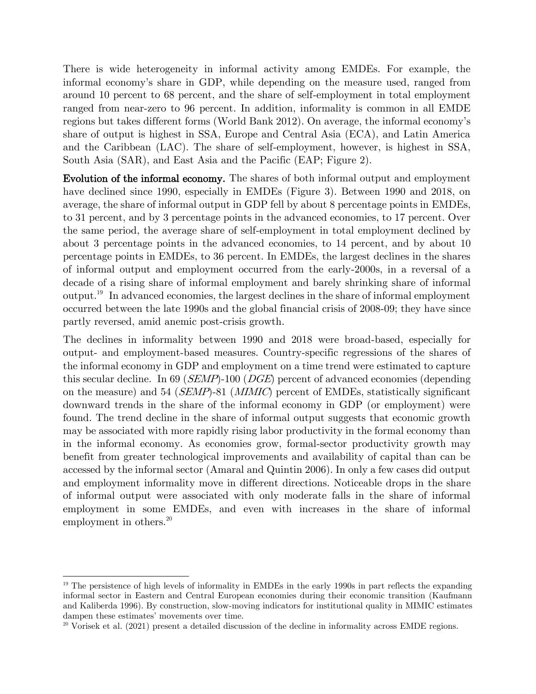There is wide heterogeneity in informal activity among EMDEs. For example, the informal economy's share in GDP, while depending on the measure used, ranged from around 10 percent to 68 percent, and the share of self-employment in total employment ranged from near-zero to 96 percent. In addition, informality is common in all EMDE regions but takes different forms (World Bank 2012). On average, the informal economy's share of output is highest in SSA, Europe and Central Asia (ECA), and Latin America and the Caribbean (LAC). The share of self-employment, however, is highest in SSA, South Asia (SAR), and East Asia and the Pacific (EAP; Figure 2).

Evolution of the informal economy. The shares of both informal output and employment have declined since 1990, especially in EMDEs (Figure 3). Between 1990 and 2018, on average, the share of informal output in GDP fell by about 8 percentage points in EMDEs, to 31 percent, and by 3 percentage points in the advanced economies, to 17 percent. Over the same period, the average share of self-employment in total employment declined by about 3 percentage points in the advanced economies, to 14 percent, and by about 10 percentage points in EMDEs, to 36 percent. In EMDEs, the largest declines in the shares of informal output and employment occurred from the early-2000s, in a reversal of a decade of a rising share of informal employment and barely shrinking share of informal output.<sup>19</sup> In advanced economies, the largest declines in the share of informal employment occurred between the late 1990s and the global financial crisis of 2008-09; they have since partly reversed, amid anemic post-crisis growth.

The declines in informality between 1990 and 2018 were broad-based, especially for output- and employment-based measures. Country-specific regressions of the shares of the informal economy in GDP and employment on a time trend were estimated to capture this secular decline. In 69 (*SEMP*)-100 (*DGE*) percent of advanced economies (depending on the measure) and 54 (SEMP)-81 (MIMIC) percent of EMDEs, statistically significant downward trends in the share of the informal economy in GDP (or employment) were found. The trend decline in the share of informal output suggests that economic growth may be associated with more rapidly rising labor productivity in the formal economy than in the informal economy. As economies grow, formal-sector productivity growth may benefit from greater technological improvements and availability of capital than can be accessed by the informal sector (Amaral and Quintin 2006). In only a few cases did output and employment informality move in different directions. Noticeable drops in the share of informal output were associated with only moderate falls in the share of informal employment in some EMDEs, and even with increases in the share of informal employment in others.<sup>20</sup>

<sup>&</sup>lt;sup>19</sup> The persistence of high levels of informality in EMDEs in the early 1990s in part reflects the expanding informal sector in Eastern and Central European economies during their economic transition (Kaufmann and Kaliberda 1996). By construction, slow-moving indicators for institutional quality in MIMIC estimates dampen these estimates' movements over time.

 $20$  Vorisek et al. (2021) present a detailed discussion of the decline in informality across EMDE regions.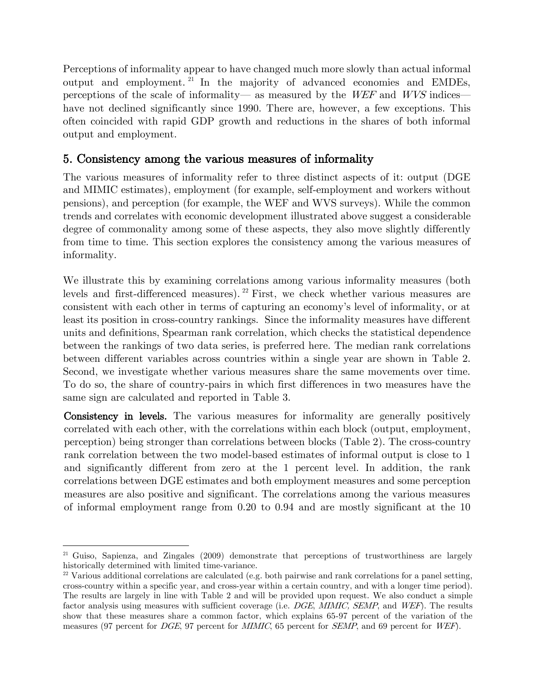Perceptions of informality appear to have changed much more slowly than actual informal output and employment. <sup>21</sup> In the majority of advanced economies and EMDEs, perceptions of the scale of informality— as measured by the WEF and WVS indices have not declined significantly since 1990. There are, however, a few exceptions. This often coincided with rapid GDP growth and reductions in the shares of both informal output and employment.

# 5. Consistency among the various measures of informality

The various measures of informality refer to three distinct aspects of it: output (DGE and MIMIC estimates), employment (for example, self-employment and workers without pensions), and perception (for example, the WEF and WVS surveys). While the common trends and correlates with economic development illustrated above suggest a considerable degree of commonality among some of these aspects, they also move slightly differently from time to time. This section explores the consistency among the various measures of informality.

We illustrate this by examining correlations among various informality measures (both levels and first-differenced measures).<sup>22</sup> First, we check whether various measures are consistent with each other in terms of capturing an economy's level of informality, or at least its position in cross-country rankings. Since the informality measures have different units and definitions, Spearman rank correlation, which checks the statistical dependence between the rankings of two data series, is preferred here. The median rank correlations between different variables across countries within a single year are shown in Table 2. Second, we investigate whether various measures share the same movements over time. To do so, the share of country-pairs in which first differences in two measures have the same sign are calculated and reported in Table 3.

Consistency in levels. The various measures for informality are generally positively correlated with each other, with the correlations within each block (output, employment, perception) being stronger than correlations between blocks (Table 2). The cross-country rank correlation between the two model-based estimates of informal output is close to 1 and significantly different from zero at the 1 percent level. In addition, the rank correlations between DGE estimates and both employment measures and some perception measures are also positive and significant. The correlations among the various measures of informal employment range from 0.20 to 0.94 and are mostly significant at the 10

<sup>&</sup>lt;sup>21</sup> Guiso, Sapienza, and Zingales (2009) demonstrate that perceptions of trustworthiness are largely historically determined with limited time-variance.

<sup>&</sup>lt;sup>22</sup> Various additional correlations are calculated (e.g. both pairwise and rank correlations for a panel setting, cross-country within a specific year, and cross-year within a certain country, and with a longer time period). The results are largely in line with Table 2 and will be provided upon request. We also conduct a simple factor analysis using measures with sufficient coverage (i.e. DGE, MIMIC, SEMP, and WEF). The results show that these measures share a common factor, which explains 65-97 percent of the variation of the measures (97 percent for *DGE*, 97 percent for *MIMIC*, 65 percent for *SEMP*, and 69 percent for *WEF*).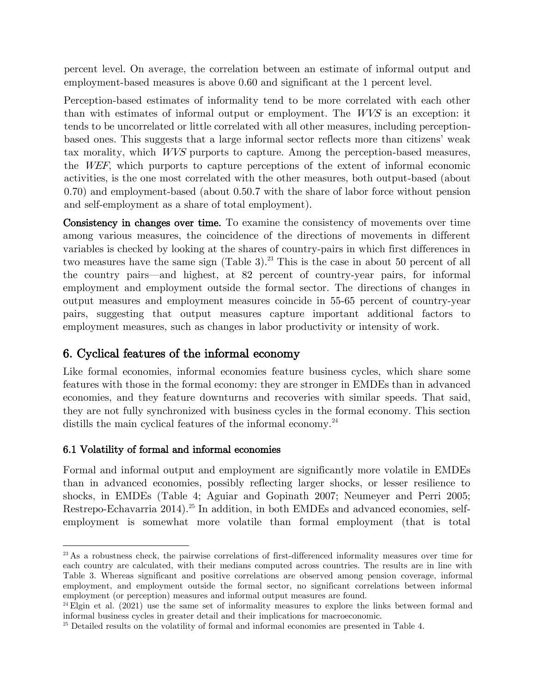percent level. On average, the correlation between an estimate of informal output and employment-based measures is above 0.60 and significant at the 1 percent level.

Perception-based estimates of informality tend to be more correlated with each other than with estimates of informal output or employment. The WVS is an exception: it tends to be uncorrelated or little correlated with all other measures, including perceptionbased ones. This suggests that a large informal sector reflects more than citizens' weak tax morality, which WVS purports to capture. Among the perception-based measures, the WEF, which purports to capture perceptions of the extent of informal economic activities, is the one most correlated with the other measures, both output-based (about 0.70) and employment-based (about 0.50.7 with the share of labor force without pension and self-employment as a share of total employment).

Consistency in changes over time. To examine the consistency of movements over time among various measures, the coincidence of the directions of movements in different variables is checked by looking at the shares of country-pairs in which first differences in two measures have the same sign (Table 3).<sup>23</sup> This is the case in about 50 percent of all the country pairs—and highest, at 82 percent of country-year pairs, for informal employment and employment outside the formal sector. The directions of changes in output measures and employment measures coincide in 55-65 percent of country-year pairs, suggesting that output measures capture important additional factors to employment measures, such as changes in labor productivity or intensity of work.

# 6. Cyclical features of the informal economy

Like formal economies, informal economies feature business cycles, which share some features with those in the formal economy: they are stronger in EMDEs than in advanced economies, and they feature downturns and recoveries with similar speeds. That said, they are not fully synchronized with business cycles in the formal economy. This section distills the main cyclical features of the informal economy.<sup>24</sup>

# 6.1 Volatility of formal and informal economies

Formal and informal output and employment are significantly more volatile in EMDEs than in advanced economies, possibly reflecting larger shocks, or lesser resilience to shocks, in EMDEs (Table 4; Aguiar and Gopinath 2007; Neumeyer and Perri 2005; Restrepo-Echavarria 2014).<sup>25</sup> In addition, in both EMDEs and advanced economies, selfemployment is somewhat more volatile than formal employment (that is total

<sup>&</sup>lt;sup>23</sup>As a robustness check, the pairwise correlations of first-differenced informality measures over time for each country are calculated, with their medians computed across countries. The results are in line with Table 3. Whereas significant and positive correlations are observed among pension coverage, informal employment, and employment outside the formal sector, no significant correlations between informal employment (or perception) measures and informal output measures are found.

<sup>&</sup>lt;sup>24</sup>Elgin et al. (2021) use the same set of informality measures to explore the links between formal and informal business cycles in greater detail and their implications for macroeconomic.

<sup>&</sup>lt;sup>25</sup> Detailed results on the volatility of formal and informal economies are presented in Table 4.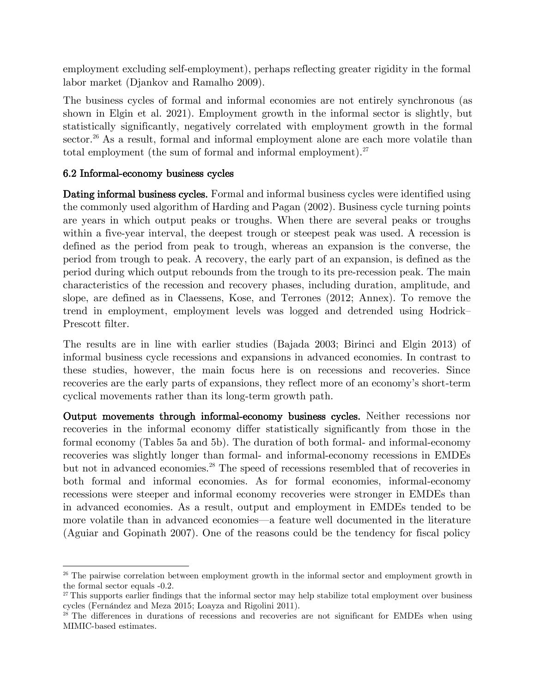employment excluding self-employment), perhaps reflecting greater rigidity in the formal labor market (Djankov and Ramalho 2009).

The business cycles of formal and informal economies are not entirely synchronous (as shown in Elgin et al. 2021). Employment growth in the informal sector is slightly, but statistically significantly, negatively correlated with employment growth in the formal sector.<sup>26</sup> As a result, formal and informal employment alone are each more volatile than total employment (the sum of formal and informal employment). $27$ 

# 6.2 Informal-economy business cycles

Dating informal business cycles. Formal and informal business cycles were identified using the commonly used algorithm of Harding and Pagan (2002). Business cycle turning points are years in which output peaks or troughs. When there are several peaks or troughs within a five-year interval, the deepest trough or steepest peak was used. A recession is defined as the period from peak to trough, whereas an expansion is the converse, the period from trough to peak. A recovery, the early part of an expansion, is defined as the period during which output rebounds from the trough to its pre-recession peak. The main characteristics of the recession and recovery phases, including duration, amplitude, and slope, are defined as in Claessens, Kose, and Terrones (2012; Annex). To remove the trend in employment, employment levels was logged and detrended using Hodrick– Prescott filter.

The results are in line with earlier studies (Bajada 2003; Birinci and Elgin 2013) of informal business cycle recessions and expansions in advanced economies. In contrast to these studies, however, the main focus here is on recessions and recoveries. Since recoveries are the early parts of expansions, they reflect more of an economy's short-term cyclical movements rather than its long-term growth path.

Output movements through informal-economy business cycles. Neither recessions nor recoveries in the informal economy differ statistically significantly from those in the formal economy (Tables 5a and 5b). The duration of both formal- and informal-economy recoveries was slightly longer than formal- and informal-economy recessions in EMDEs but not in advanced economies.<sup>28</sup> The speed of recessions resembled that of recoveries in both formal and informal economies. As for formal economies, informal-economy recessions were steeper and informal economy recoveries were stronger in EMDEs than in advanced economies. As a result, output and employment in EMDEs tended to be more volatile than in advanced economies—a feature well documented in the literature (Aguiar and Gopinath 2007). One of the reasons could be the tendency for fiscal policy

<sup>&</sup>lt;sup>26</sup> The pairwise correlation between employment growth in the informal sector and employment growth in the formal sector equals -0.2.

 $27$ This supports earlier findings that the informal sector may help stabilize total employment over business cycles (Fernández and Meza 2015; Loayza and Rigolini 2011).

<sup>&</sup>lt;sup>28</sup> The differences in durations of recessions and recoveries are not significant for EMDEs when using MIMIC-based estimates.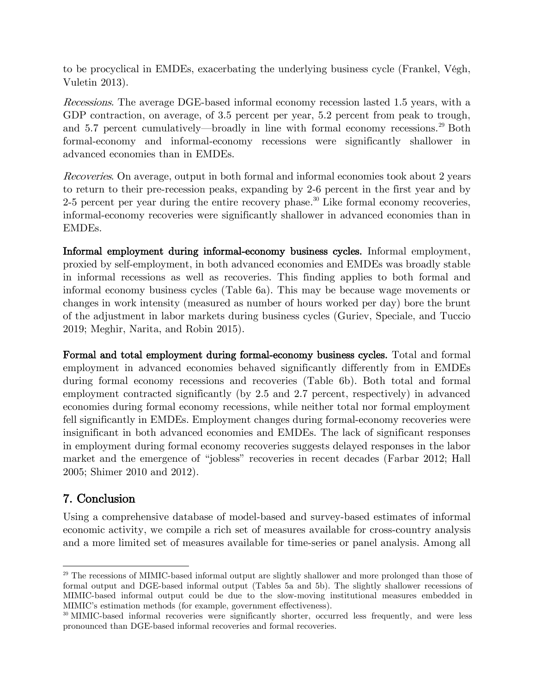to be procyclical in EMDEs, exacerbating the underlying business cycle (Frankel, Végh, Vuletin 2013).

Recessions. The average DGE-based informal economy recession lasted 1.5 years, with a GDP contraction, on average, of 3.5 percent per year, 5.2 percent from peak to trough, and 5.7 percent cumulatively—broadly in line with formal economy recessions.<sup>29</sup> Both formal-economy and informal-economy recessions were significantly shallower in advanced economies than in EMDEs.

Recoveries. On average, output in both formal and informal economies took about 2 years to return to their pre-recession peaks, expanding by 2-6 percent in the first year and by 2-5 percent per year during the entire recovery phase.<sup>30</sup> Like formal economy recoveries, informal-economy recoveries were significantly shallower in advanced economies than in EMDEs.

Informal employment during informal-economy business cycles. Informal employment, proxied by self-employment, in both advanced economies and EMDEs was broadly stable in informal recessions as well as recoveries. This finding applies to both formal and informal economy business cycles (Table 6a). This may be because wage movements or changes in work intensity (measured as number of hours worked per day) bore the brunt of the adjustment in labor markets during business cycles (Guriev, Speciale, and Tuccio 2019; Meghir, Narita, and Robin 2015).

Formal and total employment during formal-economy business cycles. Total and formal employment in advanced economies behaved significantly differently from in EMDEs during formal economy recessions and recoveries (Table 6b). Both total and formal employment contracted significantly (by 2.5 and 2.7 percent, respectively) in advanced economies during formal economy recessions, while neither total nor formal employment fell significantly in EMDEs. Employment changes during formal-economy recoveries were insignificant in both advanced economies and EMDEs. The lack of significant responses in employment during formal economy recoveries suggests delayed responses in the labor market and the emergence of "jobless" recoveries in recent decades (Farbar 2012; Hall 2005; Shimer 2010 and 2012).

# 7. Conclusion

Using a comprehensive database of model-based and survey-based estimates of informal economic activity, we compile a rich set of measures available for cross-country analysis and a more limited set of measures available for time-series or panel analysis. Among all

<sup>&</sup>lt;sup>29</sup> The recessions of MIMIC-based informal output are slightly shallower and more prolonged than those of formal output and DGE-based informal output (Tables 5a and 5b). The slightly shallower recessions of MIMIC-based informal output could be due to the slow-moving institutional measures embedded in MIMIC's estimation methods (for example, government effectiveness).

<sup>&</sup>lt;sup>30</sup> MIMIC-based informal recoveries were significantly shorter, occurred less frequently, and were less pronounced than DGE-based informal recoveries and formal recoveries.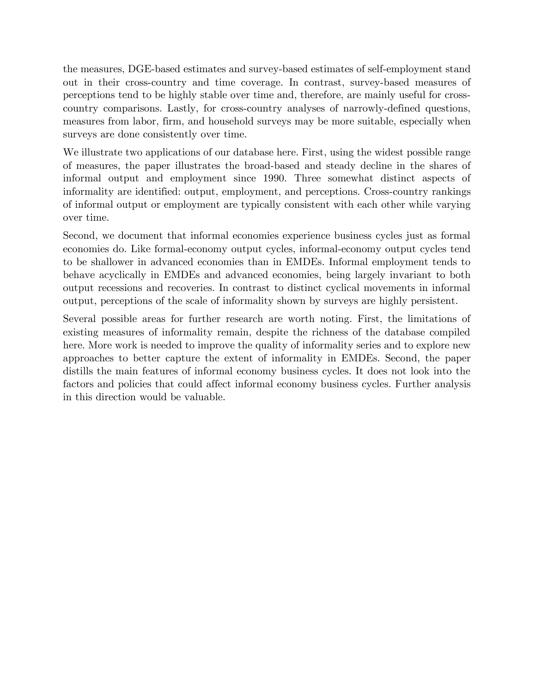the measures, DGE-based estimates and survey-based estimates of self-employment stand out in their cross-country and time coverage. In contrast, survey-based measures of perceptions tend to be highly stable over time and, therefore, are mainly useful for crosscountry comparisons. Lastly, for cross-country analyses of narrowly-defined questions, measures from labor, firm, and household surveys may be more suitable, especially when surveys are done consistently over time.

We illustrate two applications of our database here. First, using the widest possible range of measures, the paper illustrates the broad-based and steady decline in the shares of informal output and employment since 1990. Three somewhat distinct aspects of informality are identified: output, employment, and perceptions. Cross-country rankings of informal output or employment are typically consistent with each other while varying over time.

Second, we document that informal economies experience business cycles just as formal economies do. Like formal-economy output cycles, informal-economy output cycles tend to be shallower in advanced economies than in EMDEs. Informal employment tends to behave acyclically in EMDEs and advanced economies, being largely invariant to both output recessions and recoveries. In contrast to distinct cyclical movements in informal output, perceptions of the scale of informality shown by surveys are highly persistent.

Several possible areas for further research are worth noting. First, the limitations of existing measures of informality remain, despite the richness of the database compiled here. More work is needed to improve the quality of informality series and to explore new approaches to better capture the extent of informality in EMDEs. Second, the paper distills the main features of informal economy business cycles. It does not look into the factors and policies that could affect informal economy business cycles. Further analysis in this direction would be valuable.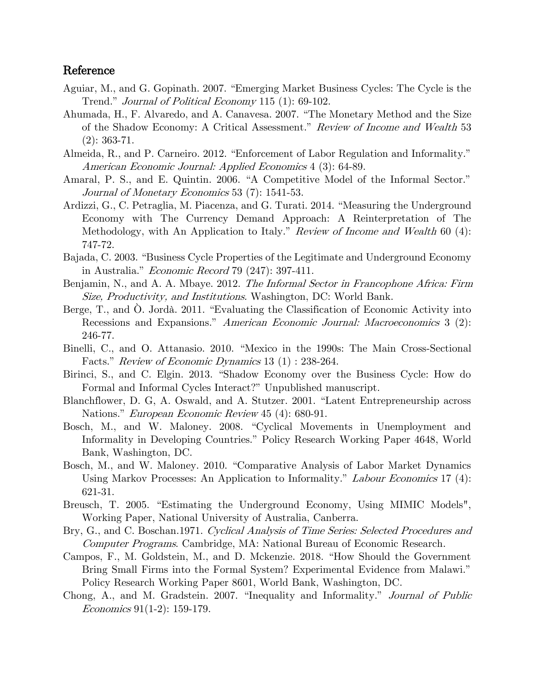### Reference

- Aguiar, M., and G. Gopinath. 2007. "Emerging Market Business Cycles: The Cycle is the Trend." *Journal of Political Economy* 115 (1): 69-102.
- Ahumada, H., F. Alvaredo, and A. Canavesa. 2007. "The Monetary Method and the Size of the Shadow Economy: A Critical Assessment." Review of Income and Wealth 53 (2): 363-71.
- Almeida, R., and P. Carneiro. 2012. "Enforcement of Labor Regulation and Informality." American Economic Journal: Applied Economics 4 (3): 64-89.
- Amaral, P. S., and E. Quintin. 2006. "A Competitive Model of the Informal Sector." Journal of Monetary Economics 53 (7): 1541-53.
- Ardizzi, G., C. Petraglia, M. Piacenza, and G. Turati. 2014. "Measuring the Underground Economy with The Currency Demand Approach: A Reinterpretation of The Methodology, with An Application to Italy." *Review of Income and Wealth* 60 (4): 747-72.
- Bajada, C. 2003. "Business Cycle Properties of the Legitimate and Underground Economy in Australia." Economic Record 79 (247): 397-411.
- Benjamin, N., and A. A. Mbaye. 2012. The Informal Sector in Francophone Africa: Firm Size, Productivity, and Institutions. Washington, DC: World Bank.
- Berge, T., and O. Jordà. 2011. "Evaluating the Classification of Economic Activity into Recessions and Expansions." American Economic Journal: Macroeconomics 3 (2): 246-77.
- Binelli, C., and O. Attanasio. 2010. "Mexico in the 1990s: The Main Cross-Sectional Facts." Review of Economic Dynamics 13 (1) : 238-264.
- Birinci, S., and C. Elgin. 2013. "Shadow Economy over the Business Cycle: How do Formal and Informal Cycles Interact?" Unpublished manuscript.
- Blanchflower, D. G, A. Oswald, and A. Stutzer. 2001. "Latent Entrepreneurship across Nations." European Economic Review 45 (4): 680-91.
- Bosch, M., and W. Maloney. 2008. "Cyclical Movements in Unemployment and Informality in Developing Countries." Policy Research Working Paper 4648, World Bank, Washington, DC.
- Bosch, M., and W. Maloney. 2010. "Comparative Analysis of Labor Market Dynamics Using Markov Processes: An Application to Informality." Labour Economics 17 (4): 621-31.
- Breusch, T. 2005. "Estimating the Underground Economy, Using MIMIC Models", Working Paper, National University of Australia, Canberra.
- Bry, G., and C. Boschan.1971. Cyclical Analysis of Time Series: Selected Procedures and Computer Programs. Cambridge, MA: National Bureau of Economic Research.
- Campos, F., M. Goldstein, M., and D. Mckenzie. 2018. "How Should the Government Bring Small Firms into the Formal System? Experimental Evidence from Malawi." Policy Research Working Paper 8601, World Bank, Washington, DC.
- Chong, A., and M. Gradstein. 2007. "Inequality and Informality." Journal of Public Economics 91(1-2): 159-179.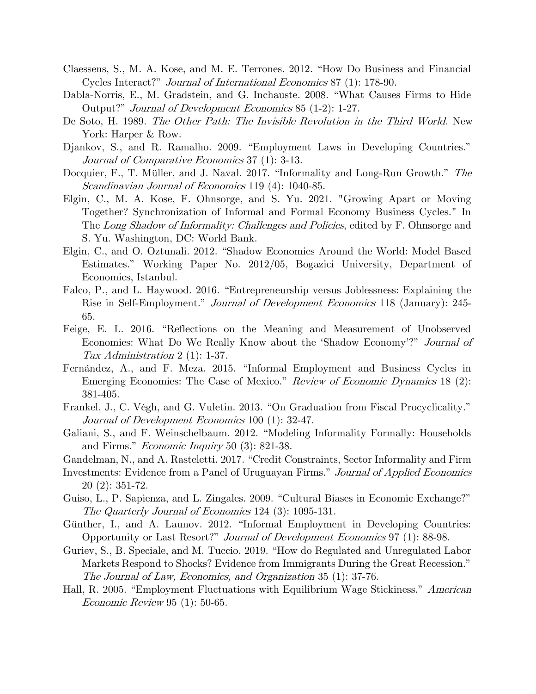- Claessens, S., M. A. Kose, and M. E. Terrones. 2012. "How Do Business and Financial Cycles Interact?" Journal of International Economics 87 (1): 178-90.
- Dabla-Norris, E., M. Gradstein, and G. Inchauste. 2008. "What Causes Firms to Hide Output?" Journal of Development Economics 85 (1-2): 1-27.
- De Soto, H. 1989. The Other Path: The Invisible Revolution in the Third World. New York: Harper & Row.
- Djankov, S., and R. Ramalho. 2009. "Employment Laws in Developing Countries." Journal of Comparative Economics 37 (1): 3-13.
- Docquier, F., T. Müller, and J. Naval. 2017. "Informality and Long-Run Growth." The Scandinavian Journal of Economics 119 (4): 1040-85.
- Elgin, C., M. A. Kose, F. Ohnsorge, and S. Yu. 2021. "Growing Apart or Moving Together? Synchronization of Informal and Formal Economy Business Cycles." In The Long Shadow of Informality: Challenges and Policies, edited by F. Ohnsorge and S. Yu. Washington, DC: World Bank.
- Elgin, C., and O. Oztunali. 2012. "Shadow Economies Around the World: Model Based Estimates." Working Paper No. 2012/05, Bogazici University, Department of Economics, Istanbul.
- Falco, P., and L. Haywood. 2016. "Entrepreneurship versus Joblessness: Explaining the Rise in Self-Employment." *Journal of Development Economics* 118 (January): 245-65.
- Feige, E. L. 2016. "Reflections on the Meaning and Measurement of Unobserved Economies: What Do We Really Know about the 'Shadow Economy'?" Journal of Tax Administration 2 (1): 1-37.
- Fernández, A., and F. Meza. 2015. "Informal Employment and Business Cycles in Emerging Economies: The Case of Mexico." Review of Economic Dynamics 18 (2): 381-405.
- Frankel, J., C. Végh, and G. Vuletin. 2013. "On Graduation from Fiscal Procyclicality." Journal of Development Economics 100 (1): 32-47.
- Galiani, S., and F. Weinschelbaum. 2012. "Modeling Informality Formally: Households and Firms." *Economic Inquiry* 50 (3): 821-38.
- Gandelman, N., and A. Rasteletti. 2017. "Credit Constraints, Sector Informality and Firm
- Investments: Evidence from a Panel of Uruguayan Firms." Journal of Applied Economics 20 (2): 351-72.
- Guiso, L., P. Sapienza, and L. Zingales. 2009. "Cultural Biases in Economic Exchange?" The Quarterly Journal of Economies 124 (3): 1095-131.
- Günther, I., and A. Launov. 2012. "Informal Employment in Developing Countries: Opportunity or Last Resort?" Journal of Development Economics 97 (1): 88-98.
- Guriev, S., B. Speciale, and M. Tuccio. 2019. "How do Regulated and Unregulated Labor Markets Respond to Shocks? Evidence from Immigrants During the Great Recession." The Journal of Law, Economics, and Organization 35 (1): 37-76.
- Hall, R. 2005. "Employment Fluctuations with Equilibrium Wage Stickiness." American Economic Review 95 (1): 50-65.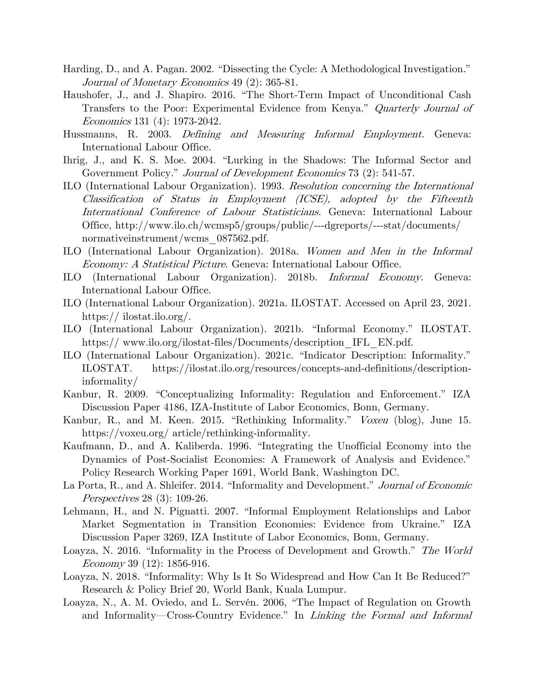- Harding, D., and A. Pagan. 2002. "Dissecting the Cycle: A Methodological Investigation." Journal of Monetary Economics 49 (2): 365-81.
- Haushofer, J., and J. Shapiro. 2016. "The Short-Term Impact of Unconditional Cash Transfers to the Poor: Experimental Evidence from Kenya." Quarterly Journal of Economics 131 (4): 1973-2042.
- Hussmanns, R. 2003. Defining and Measuring Informal Employment. Geneva: International Labour Office.
- Ihrig, J., and K. S. Moe. 2004. "Lurking in the Shadows: The Informal Sector and Government Policy." Journal of Development Economics 73 (2): 541-57.
- ILO (International Labour Organization). 1993. Resolution concerning the International Classification of Status in Employment (ICSE), adopted by the Fifteenth International Conference of Labour Statisticians. Geneva: International Labour Office, http://www.ilo.ch/wcmsp5/groups/public/---dgreports/---stat/documents/ normativeinstrument/wcms 087562.pdf.
- ILO (International Labour Organization). 2018a. Women and Men in the Informal Economy: A Statistical Picture. Geneva: International Labour Office.
- ILO (International Labour Organization). 2018b. Informal Economy. Geneva: International Labour Office.
- ILO (International Labour Organization). 2021a. ILOSTAT. Accessed on April 23, 2021. https:// ilostat.ilo.org/.
- ILO (International Labour Organization). 2021b. "Informal Economy." ILOSTAT. https://www.ilo.org/ilostat-files/Documents/description IFL EN.pdf.
- ILO (International Labour Organization). 2021c. "Indicator Description: Informality." ILOSTAT. https://ilostat.ilo.org/resources/concepts-and-definitions/descriptioninformality/
- Kanbur, R. 2009. "Conceptualizing Informality: Regulation and Enforcement." IZA Discussion Paper 4186, IZA-Institute of Labor Economics, Bonn, Germany.
- Kanbur, R., and M. Keen. 2015. "Rethinking Informality." Voxeu (blog), June 15. https://voxeu.org/ article/rethinking-informality.
- Kaufmann, D., and A. Kaliberda. 1996. "Integrating the Unofficial Economy into the Dynamics of Post-Socialist Economies: A Framework of Analysis and Evidence." Policy Research Working Paper 1691, World Bank, Washington DC.
- La Porta, R., and A. Shleifer. 2014. "Informality and Development." Journal of Economic Perspectives 28 (3): 109-26.
- Lehmann, H., and N. Pignatti. 2007. "Informal Employment Relationships and Labor Market Segmentation in Transition Economies: Evidence from Ukraine." IZA Discussion Paper 3269, IZA Institute of Labor Economics, Bonn, Germany.
- Loayza, N. 2016. "Informality in the Process of Development and Growth." The World Economy 39 (12): 1856-916.
- Loayza, N. 2018. "Informality: Why Is It So Widespread and How Can It Be Reduced?" Research & Policy Brief 20, World Bank, Kuala Lumpur.
- Loayza, N., A. M. Oviedo, and L. Servén. 2006, "The Impact of Regulation on Growth and Informality—Cross-Country Evidence." In *Linking the Formal and Informal*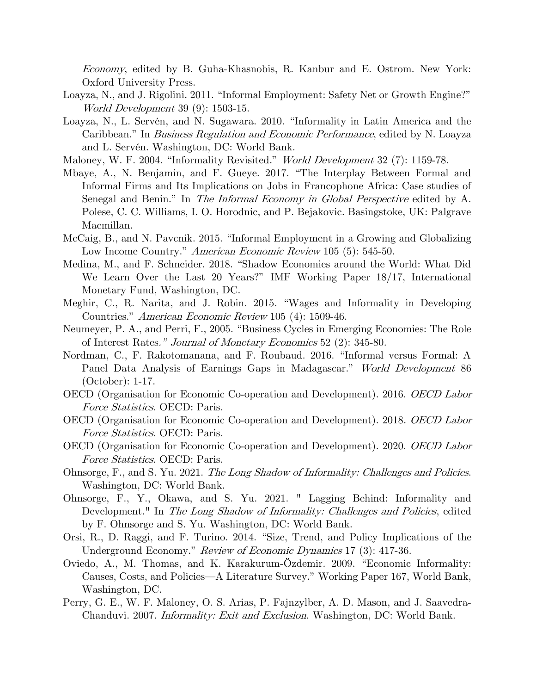Economy, edited by B. Guha-Khasnobis, R. Kanbur and E. Ostrom. New York: Oxford University Press.

- Loayza, N., and J. Rigolini. 2011. "Informal Employment: Safety Net or Growth Engine?" World Development 39 (9): 1503-15.
- Loayza, N., L. Servén, and N. Sugawara. 2010. "Informality in Latin America and the Caribbean." In Business Regulation and Economic Performance, edited by N. Loayza and L. Servén. Washington, DC: World Bank.
- Maloney, W. F. 2004. "Informality Revisited." *World Development* 32 (7): 1159-78.
- Mbaye, A., N. Benjamin, and F. Gueye. 2017. "The Interplay Between Formal and Informal Firms and Its Implications on Jobs in Francophone Africa: Case studies of Senegal and Benin." In *The Informal Economy in Global Perspective* edited by A. Polese, C. C. Williams, I. O. Horodnic, and P. Bejakovic. Basingstoke, UK: Palgrave Macmillan.
- McCaig, B., and N. Pavcnik. 2015. "Informal Employment in a Growing and Globalizing Low Income Country." American Economic Review 105 (5): 545-50.
- Medina, M., and F. Schneider. 2018. "Shadow Economies around the World: What Did We Learn Over the Last 20 Years?" IMF Working Paper 18/17, International Monetary Fund, Washington, DC.
- Meghir, C., R. Narita, and J. Robin. 2015. "Wages and Informality in Developing Countries." American Economic Review 105 (4): 1509-46.
- Neumeyer, P. A., and Perri, F., 2005. "Business Cycles in Emerging Economies: The Role of Interest Rates." Journal of Monetary Economics 52 (2): 345-80.
- Nordman, C., F. Rakotomanana, and F. Roubaud. 2016. "Informal versus Formal: A Panel Data Analysis of Earnings Gaps in Madagascar." World Development 86 (October): 1-17.
- OECD (Organisation for Economic Co-operation and Development). 2016. OECD Labor Force Statistics. OECD: Paris.
- OECD (Organisation for Economic Co-operation and Development). 2018. OECD Labor Force Statistics. OECD: Paris.
- OECD (Organisation for Economic Co-operation and Development). 2020. OECD Labor Force Statistics. OECD: Paris.
- Ohnsorge, F., and S. Yu. 2021. The Long Shadow of Informality: Challenges and Policies. Washington, DC: World Bank.
- Ohnsorge, F., Y., Okawa, and S. Yu. 2021. " Lagging Behind: Informality and Development." In The Long Shadow of Informality: Challenges and Policies, edited by F. Ohnsorge and S. Yu. Washington, DC: World Bank.
- Orsi, R., D. Raggi, and F. Turino. 2014. "Size, Trend, and Policy Implications of the Underground Economy." Review of Economic Dynamics 17 (3): 417-36.
- Oviedo, A., M. Thomas, and K. Karakurum-Özdemir. 2009. "Economic Informality: Causes, Costs, and Policies—A Literature Survey." Working Paper 167, World Bank, Washington, DC.
- Perry, G. E., W. F. Maloney, O. S. Arias, P. Fajnzylber, A. D. Mason, and J. Saavedra-Chanduvi. 2007. Informality: Exit and Exclusion. Washington, DC: World Bank.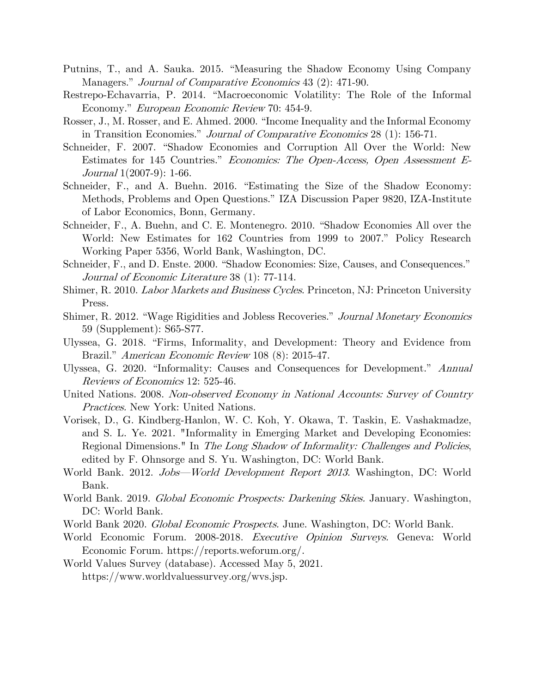- Putnins, T., and A. Sauka. 2015. "Measuring the Shadow Economy Using Company Managers." *Journal of Comparative Economics* 43 (2): 471-90.
- Restrepo-Echavarria, P. 2014. "Macroeconomic Volatility: The Role of the Informal Economy." European Economic Review 70: 454-9.
- Rosser, J., M. Rosser, and E. Ahmed. 2000. "Income Inequality and the Informal Economy in Transition Economies." Journal of Comparative Economics 28 (1): 156-71.
- Schneider, F. 2007. "Shadow Economies and Corruption All Over the World: New Estimates for 145 Countries." Economics: The Open-Access, Open Assessment E-Journal 1(2007-9): 1-66.
- Schneider, F., and A. Buehn. 2016. "Estimating the Size of the Shadow Economy: Methods, Problems and Open Questions." IZA Discussion Paper 9820, IZA-Institute of Labor Economics, Bonn, Germany.
- Schneider, F., A. Buehn, and C. E. Montenegro. 2010. "Shadow Economies All over the World: New Estimates for 162 Countries from 1999 to 2007." Policy Research Working Paper 5356, World Bank, Washington, DC.
- Schneider, F., and D. Enste. 2000. "Shadow Economies: Size, Causes, and Consequences." Journal of Economic Literature 38 (1): 77-114.
- Shimer, R. 2010. *Labor Markets and Business Cycles*. Princeton, NJ: Princeton University Press.
- Shimer, R. 2012. "Wage Rigidities and Jobless Recoveries." Journal Monetary Economics 59 (Supplement): S65-S77.
- Ulyssea, G. 2018. "Firms, Informality, and Development: Theory and Evidence from Brazil." American Economic Review 108 (8): 2015-47.
- Ulyssea, G. 2020. "Informality: Causes and Consequences for Development." Annual Reviews of Economics 12: 525-46.
- United Nations. 2008. Non-observed Economy in National Accounts: Survey of Country Practices. New York: United Nations.
- Vorisek, D., G. Kindberg-Hanlon, W. C. Koh, Y. Okawa, T. Taskin, E. Vashakmadze, and S. L. Ye. 2021. "Informality in Emerging Market and Developing Economies: Regional Dimensions." In *The Long Shadow of Informality: Challenges and Policies*, edited by F. Ohnsorge and S. Yu. Washington, DC: World Bank.
- World Bank. 2012. Jobs—World Development Report 2013. Washington, DC: World Bank.
- World Bank. 2019. Global Economic Prospects: Darkening Skies. January. Washington, DC: World Bank.
- World Bank 2020. Global Economic Prospects. June. Washington, DC: World Bank.
- World Economic Forum. 2008-2018. Executive Opinion Surveys. Geneva: World Economic Forum. https://reports.weforum.org/.
- World Values Survey (database). Accessed May 5, 2021. https://www.worldvaluessurvey.org/wvs.jsp.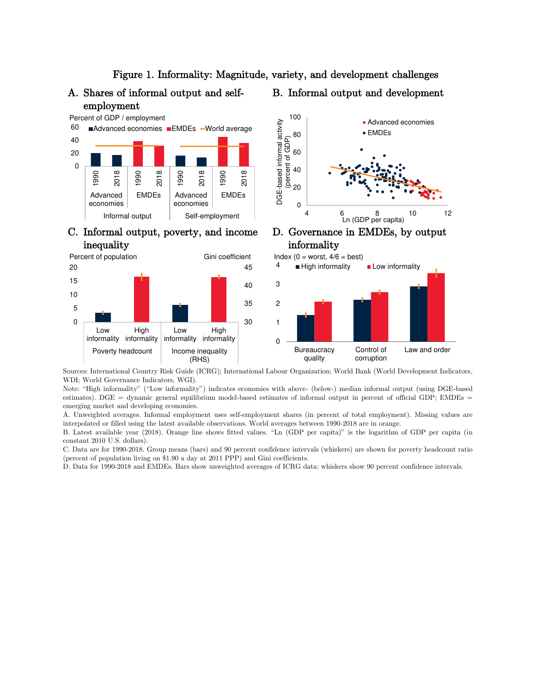### Figure 1. Informality: Magnitude, variety, and development challenges

## A. Shares of informal output and selfemployment

# B. Informal output and development



### C. Informal output, poverty, and income inequality









Sources: International Country Risk Guide (ICRG); International Labour Organization; World Bank (World Development Indicators, WDI; World Governance Indicators, WGI).

Note: "High informality" ("Low informality") indicates economies with above- (below-) median informal output (using DGE-based estimates). DGE = dynamic general equilibrium model-based estimates of informal output in percent of official GDP; EMDEs = emerging market and developing economies.

A. Unweighted averages. Informal employment uses self-employment shares (in percent of total employment). Missing values are interpolated or filled using the latest available observations. World averages between 1990-2018 are in orange.

B. Latest available year (2018). Orange line shows fitted values. "Ln (GDP per capita)" is the logarithm of GDP per capita (in constant 2010 U.S. dollars).

C. Data are for 1990-2018. Group means (bars) and 90 percent confidence intervals (whiskers) are shown for poverty headcount ratio (percent of population living on \$1.90 a day at 2011 PPP) and Gini coefficients.

D. Data for 1990-2018 and EMDEs. Bars show unweighted averages of ICRG data; whiskers show 90 percent confidence intervals.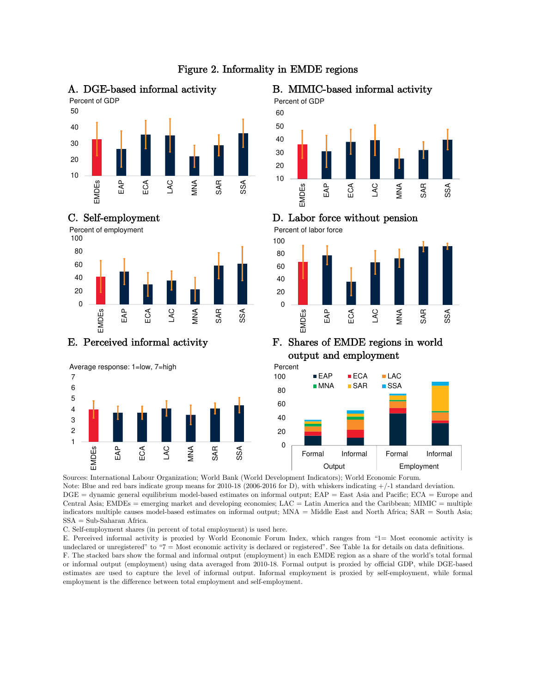

# Figure 2. Informality in EMDE regions













### E. Perceived informal activity F. Shares of EMDE regions in world output and employment



Sources: International Labour Organization; World Bank (World Development Indicators); World Economic Forum.

Note: Blue and red bars indicate group means for 2010-18 (2006-2016 for D), with whiskers indicating +/-1 standard deviation. DGE = dynamic general equilibrium model-based estimates on informal output; EAP = East Asia and Pacific; ECA = Europe and Central Asia; EMDEs = emerging market and developing economies; LAC = Latin America and the Caribbean; MIMIC = multiple indicators multiple causes model-based estimates on informal output; MNA = Middle East and North Africa; SAR = South Asia; SSA = Sub-Saharan Africa.

C. Self-employment shares (in percent of total employment) is used here.

E. Perceived informal activity is proxied by World Economic Forum Index, which ranges from "1= Most economic activity is undeclared or unregistered" to "7 = Most economic activity is declared or registered". See Table 1a for details on data definitions. F. The stacked bars show the formal and informal output (employment) in each EMDE region as a share of the world's total formal or informal output (employment) using data averaged from 2010-18. Formal output is proxied by official GDP, while DGE-based estimates are used to capture the level of informal output. Informal employment is proxied by self-employment, while formal employment is the difference between total employment and self-employment.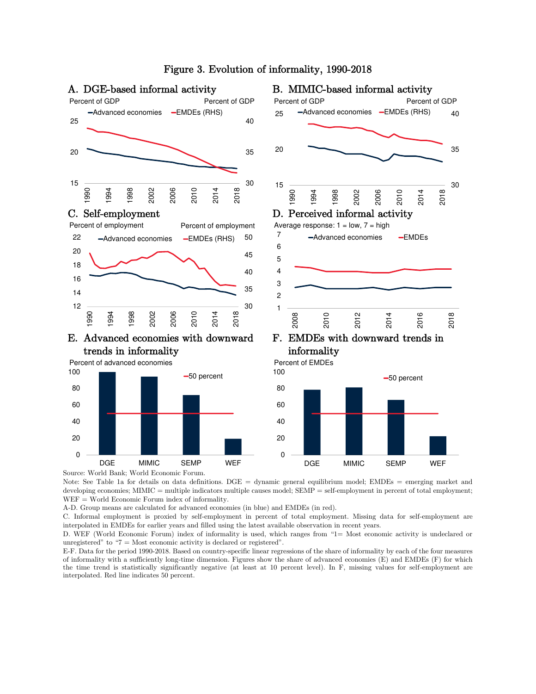

Source: World Bank; World Economic Forum.

Note: See Table 1a for details on data definitions. DGE = dynamic general equilibrium model; EMDEs = emerging market and developing economies; MIMIC = multiple indicators multiple causes model; SEMP = self-employment in percent of total employment; WEF = World Economic Forum index of informality.

A-D. Group means are calculated for advanced economies (in blue) and EMDEs (in red).

C. Informal employment is proxied by self-employment in percent of total employment. Missing data for self-employment are interpolated in EMDEs for earlier years and filled using the latest available observation in recent years.

D. WEF (World Economic Forum) index of informality is used, which ranges from "1= Most economic activity is undeclared or unregistered" to " $7 =$  Most economic activity is declared or registered".

E-F. Data for the period 1990-2018. Based on country-specific linear regressions of the share of informality by each of the four measures of informality with a sufficiently long-time dimension. Figures show the share of advanced economies (E) and EMDEs (F) for which the time trend is statistically significantly negative (at least at 10 percent level). In F, missing values for self-employment are interpolated. Red line indicates 50 percent.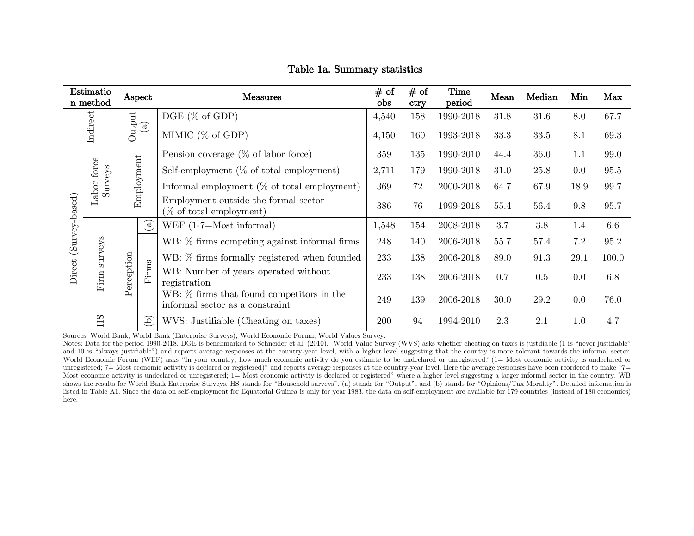|                                                                        | Estimatio<br>n method | Aspect |                                                | # of<br>Measures                                                             |       | # of<br>ctry                              | Time<br>period                                       | Mean | Median | Min       | Max  |      |      |       |
|------------------------------------------------------------------------|-----------------------|--------|------------------------------------------------|------------------------------------------------------------------------------|-------|-------------------------------------------|------------------------------------------------------|------|--------|-----------|------|------|------|-------|
|                                                                        |                       |        |                                                | $DGE$ (% of GDP)                                                             | 4,540 | 158                                       | 1990-2018                                            | 31.8 | 31.6   | 8.0       | 67.7 |      |      |       |
| Indirect<br>$\begin{array}{c} \text{Output} \\ \text{(a)} \end{array}$ |                       |        | MIMIC $(\%$ of GDP)                            | 4,150                                                                        | 160   | 1993-2018                                 | 33.3                                                 | 33.5 | 8.1    | 69.3      |      |      |      |       |
|                                                                        |                       |        | Pension coverage $(\%$ of labor force)         |                                                                              | 359   | 135                                       | 1990-2010                                            | 44.4 | 36.0   | 1.1       | 99.0 |      |      |       |
|                                                                        |                       |        |                                                | Self-employment $(\%$ of total employment)                                   | 2,711 | 179                                       | 1990-2018                                            | 31.0 | 25.8   | 0.0       | 95.5 |      |      |       |
| Employment<br>Labor force<br>Surveys<br>(Survey-based)                 |                       |        | Informal employment $(\%$ of total employment) | 369                                                                          | 72    | 2000-2018                                 | 64.7                                                 | 67.9 | 18.9   | 99.7      |      |      |      |       |
|                                                                        |                       |        |                                                | Employment outside the formal sector<br>$(\%$ of total employment)           | 386   | 76                                        | 1999-2018                                            | 55.4 | 56.4   | 9.8       | 95.7 |      |      |       |
|                                                                        |                       |        | $\bigcirc$                                     | WEF $(1-7=Most informal)$                                                    | 1,548 | 154                                       | 2008-2018                                            | 3.7  | 3.8    | 1.4       | 6.6  |      |      |       |
|                                                                        |                       |        |                                                | WB: % firms competing against informal firms                                 | 248   | 140                                       | 2006-2018                                            | 55.7 | 57.4   | 7.2       | 95.2 |      |      |       |
|                                                                        | surveys               |        | Perception                                     |                                                                              |       |                                           | WB: % firms formally registered when founded         | 233  | 138    | 2006-2018 | 89.0 | 91.3 | 29.1 | 100.0 |
| Direct                                                                 | Firm                  |        |                                                |                                                                              |       | $\operatorname*{im}\nolimits$<br><b>上</b> | WB: Number of years operated without<br>registration | 233  | 138    | 2006-2018 | 0.7  | 0.5  | 0.0  | 6.8   |
|                                                                        |                       |        |                                                | WB: % firms that found competitors in the<br>informal sector as a constraint | 249   | 139                                       | 2006-2018                                            | 30.0 | 29.2   | 0.0       | 76.0 |      |      |       |
|                                                                        | HS                    |        | $\mathcal{L}$                                  | WVS: Justifiable (Cheating on taxes)                                         | 200   | 94                                        | 1994-2010                                            | 2.3  | 2.1    | 1.0       | 4.7  |      |      |       |

### Table 1a. Summary statistics

Sources: World Bank; World Bank (Enterprise Surveys); World Economic Forum; World Values Survey.

Notes: Data for the period 1990-2018. DGE is benchmarked to Schneider et al. (2010). World Value Survey (WVS) asks whether cheating on taxes is justifiable (1 is "never justifiable" and 10 is "always justifiable") and reports average responses at the country-year level, with a higher level suggesting that the country is more tolerant towards the informal sector. World Economic Forum (WEF) asks "In your country, how much economic activity do you estimate to be undeclared or unregistered? (1= Most economic activity is undeclared or unregistered; 7= Most economic activity is declared or registered)" and reports average responses at the country-year level. Here the average responses have been reordered to make "7= Most economic activity is undeclared or unregistered; 1= Most economic activity is declared or registered" where a higher level suggesting a larger informal sector in the country. WB shows the results for World Bank Enterprise Surveys. HS stands for "Household surveys", (a) stands for "Output", and (b) stands for "Opinions/Tax Morality". Detailed information is listed in Table A1. Since the data on self-employment for Equatorial Guinea is only for year 1983, the data on self-employment are available for 179 countries (instead of 180 economies) here.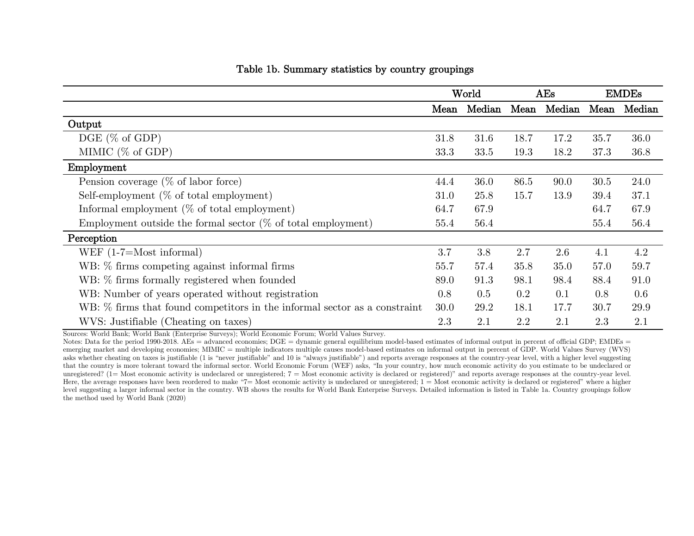|                                                                           | World |        | AEs  |             | <b>EMDEs</b> |        |
|---------------------------------------------------------------------------|-------|--------|------|-------------|--------------|--------|
|                                                                           | Mean  | Median |      | Mean Median | Mean         | Median |
| Output                                                                    |       |        |      |             |              |        |
| $DGE$ (% of GDP)                                                          | 31.8  | 31.6   | 18.7 | 17.2        | 35.7         | 36.0   |
| MIMIC $(\%$ of GDP)                                                       | 33.3  | 33.5   | 19.3 | 18.2        | 37.3         | 36.8   |
| Employment                                                                |       |        |      |             |              |        |
| Pension coverage $(\%$ of labor force)                                    | 44.4  | 36.0   | 86.5 | 90.0        | 30.5         | 24.0   |
| Self-employment $(\%$ of total employment)                                |       | 25.8   | 15.7 | 13.9        | 39.4         | 37.1   |
| Informal employment $(\%$ of total employment)                            |       | 67.9   |      |             | 64.7         | 67.9   |
| Employment outside the formal sector $(\%$ of total employment)           | 55.4  | 56.4   |      |             | 55.4         | 56.4   |
| Perception                                                                |       |        |      |             |              |        |
| WEF $(1-7=Most informal)$                                                 | 3.7   | 3.8    | 2.7  | 2.6         | 4.1          | 4.2    |
| WB: % firms competing against informal firms                              | 55.7  | 57.4   | 35.8 | 35.0        | 57.0         | 59.7   |
| WB: % firms formally registered when founded                              |       | 91.3   | 98.1 | 98.4        | 88.4         | 91.0   |
| WB: Number of years operated without registration                         |       | 0.5    | 0.2  | 0.1         | 0.8          | 0.6    |
| WB: % firms that found competitors in the informal sector as a constraint |       | 29.2   | 18.1 | 17.7        | 30.7         | 29.9   |
| WVS: Justifiable (Cheating on taxes)                                      | 2.3   | 2.1    | 2.2  | 2.1         | 2.3          | 2.1    |

### Table 1b. Summary statistics by country groupings

Sources: World Bank; World Bank (Enterprise Surveys); World Economic Forum; World Values Survey.

Notes: Data for the period 1990-2018. AEs = advanced economies:  $DGE =$  dynamic general equilibrium model-based estimates of informal output in percent of official GDP; EMDEs = emerging market and developing economies; MIMIC = multiple indicators multiple causes model-based estimates on informal output in percent of GDP. World Values Survey (WVS) asks whether cheating on taxes is justifiable (1 is "never justifiable" and 10 is "always justifiable") and reports average responses at the country-year level, with a higher level suggesting that the country is more tolerant toward the informal sector. World Economic Forum (WEF) asks, "In your country, how much economic activity do you estimate to be undeclared or unregistered? (1= Most economic activity is undeclared or unregistered; 7 = Most economic activity is declared or registered)" and reports average responses at the country-year level. Here, the average responses have been reordered to make "7= Most economic activity is undeclared or unregistered; 1 = Most economic activity is declared or registered" where a higher level suggesting a larger informal sector in the country. WB shows the results for World Bank Enterprise Surveys. Detailed information is listed in Table 1a. Country groupings follow the method used by World Bank (2020)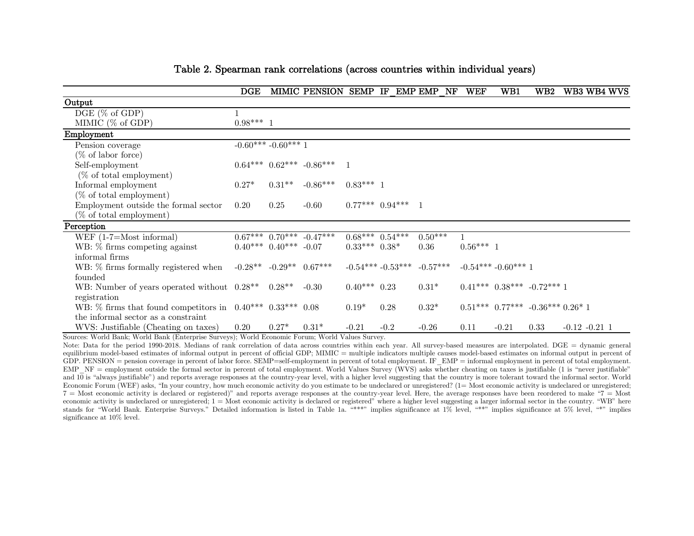|                                                               | $\overline{\text{DGE}}$ |                           | <b>MIMIC PENSION</b>           | SEMP              | IF                             | EMP EMP<br>$\mathbf{N}\mathbf{\Gamma}$ | <b>WEF</b> | WB1                 | W B2                                     |                  | WB3 WB4 WVS |
|---------------------------------------------------------------|-------------------------|---------------------------|--------------------------------|-------------------|--------------------------------|----------------------------------------|------------|---------------------|------------------------------------------|------------------|-------------|
| Output                                                        |                         |                           |                                |                   |                                |                                        |            |                     |                                          |                  |             |
| $DGE$ (% of GDP)                                              |                         |                           |                                |                   |                                |                                        |            |                     |                                          |                  |             |
| MIMIC $(\%$ of GDP)                                           | $0.98***1$              |                           |                                |                   |                                |                                        |            |                     |                                          |                  |             |
| Employment                                                    |                         |                           |                                |                   |                                |                                        |            |                     |                                          |                  |             |
| Pension coverage                                              |                         | $-0.60***$ $-0.60***$ 1   |                                |                   |                                |                                        |            |                     |                                          |                  |             |
| $(\% \text{ of labor force})$                                 |                         |                           |                                |                   |                                |                                        |            |                     |                                          |                  |             |
| Self-employment                                               |                         |                           | $0.64***$ $0.62***$ $-0.86***$ |                   |                                |                                        |            |                     |                                          |                  |             |
| $(\%$ of total employment)                                    |                         |                           |                                |                   |                                |                                        |            |                     |                                          |                  |             |
| Informal employment                                           | $0.27*$                 | $0.31**$                  | $-0.86***$                     | $0.83***1$        |                                |                                        |            |                     |                                          |                  |             |
| $(\% \text{ of total employment})$                            |                         |                           |                                |                   |                                |                                        |            |                     |                                          |                  |             |
| Employment outside the formal sector                          | 0.20                    | 0.25                      | $-0.60$                        |                   | $0.77***$ $0.94***$ 1          |                                        |            |                     |                                          |                  |             |
| $(\% \text{ of total employment})$                            |                         |                           |                                |                   |                                |                                        |            |                     |                                          |                  |             |
| Perception                                                    |                         |                           |                                |                   |                                |                                        |            |                     |                                          |                  |             |
| WEF $(1-7=Most informal)$                                     |                         |                           | $0.67***$ $0.70***$ $-0.47***$ |                   | $0.68***$ $\overline{0.54***}$ | $0.50***$                              |            |                     |                                          |                  |             |
| WB: % firms competing against                                 |                         | $0.40***$ $0.40***$ -0.07 |                                | $0.33***$ $0.38*$ |                                | 0.36                                   | $0.56***1$ |                     |                                          |                  |             |
| informal firms                                                |                         |                           |                                |                   |                                |                                        |            |                     |                                          |                  |             |
| WB: % firms formally registered when                          | $-0.28**$               | $-0.29**$ 0.67***         |                                |                   | $-0.54***-0.53***$             | $-0.57***$                             |            | $-0.54***-0.60***1$ |                                          |                  |             |
| founded                                                       |                         |                           |                                |                   |                                |                                        |            |                     |                                          |                  |             |
| WB: Number of years operated without 0.28**                   |                         | $0.28**$                  | $-0.30$                        | $0.40***$ 0.23    |                                | $0.31*$                                |            |                     | $0.41***$ $0.38***$ $-0.72***$ 1         |                  |             |
| registration                                                  |                         |                           |                                |                   |                                |                                        |            |                     |                                          |                  |             |
| WB: $\%$ firms that found competitors in 0.40*** 0.33*** 0.08 |                         |                           |                                | $0.19*$           | 0.28                           | $0.32*$                                |            |                     | $0.51***$ $0.77***$ $-0.36***$ $0.26*$ 1 |                  |             |
| the informal sector as a constraint                           |                         |                           |                                |                   |                                |                                        |            |                     |                                          |                  |             |
| WVS: Justifiable (Cheating on taxes)                          | 0.20                    | $0.27*$                   | $0.31*$                        | $-0.21$           | $-0.2$                         | $-0.26$                                | 0.11       | $-0.21$             | 0.33                                     | $-0.12 - 0.21$ 1 |             |

### Table 2. Spearman rank correlations (across countries within individual years)

Sources: World Bank; World Bank (Enterprise Surveys); World Economic Forum; World Values Survey.

Note: Data for the period 1990-2018. Medians of rank correlation of data across countries within each year. All survey-based measures are interpolated. DGE = dynamic general equilibrium model-based estimates of informal output in percent of official GDP; MIMIC = multiple indicators multiple causes model-based estimates on informal output in percent of GDP. PENSION = pension coverage in percent of labor force. SEMP=self-employment in percent of total employment. IF EMP = informal employment in percent of total employment. EMP NF = employment outside the formal sector in percent of total employment. World Values Survey (WVS) asks whether cheating on taxes is justifiable (1 is "never justifiable") and  $10$  is "always justifiable") and reports average responses at the country-year level, with a higher level suggesting that the country is more tolerant toward the informal sector. World Economic Forum (WEF) asks, "In your country, how much economic activity do you estimate to be undeclared or unregistered? (1= Most economic activity is undeclared or unregistered;  $7 =$  Most economic activity is declared or registered)" and reports average responses at the country-year level. Here, the average responses have been reordered to make " $7 =$  Most economic activity is undeclared or unregistered;  $1 =$  Most economic activity is declared or registered" where a higher level suggesting a larger informal sector in the country. "WB" here stands for "World Bank. Enterprise Surveys." Detailed information is listed in Table 1a. "\*\*\*" implies significance at 1% level, "\*\*" implies significance at 5% level, "\*" implies significance at 10% level.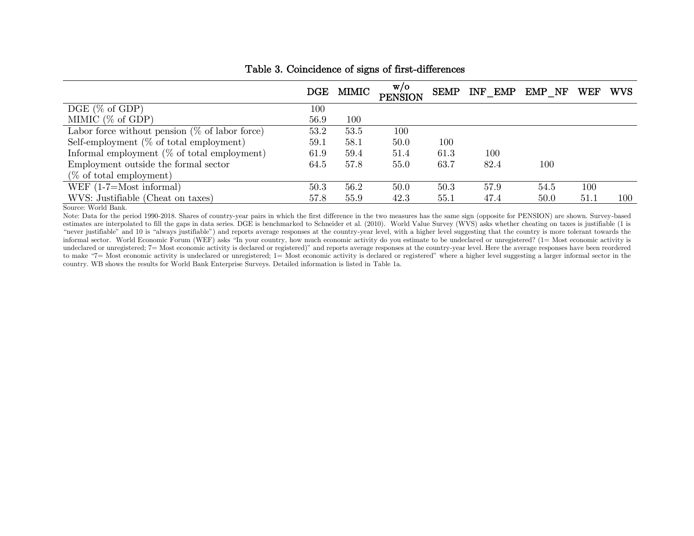|                                                   | $\overline{\text{DGE}}$ | MIMIC | W/O<br><b>PENSION</b> | SEMP    | INF EMP | EMP NF | WEF  | <b>WVS</b> |
|---------------------------------------------------|-------------------------|-------|-----------------------|---------|---------|--------|------|------------|
| $DGE$ (% of GDP)                                  | $100\,$                 |       |                       |         |         |        |      |            |
| MIMIC $(\% \text{ of GDP})$                       | 56.9                    | 100   |                       |         |         |        |      |            |
| Labor force without pension $(\%$ of labor force) | 53.2                    | 53.5  | 100                   |         |         |        |      |            |
| Self-employment $(\%$ of total employment)        | 59.1                    | 58.1  | 50.0                  | $100\,$ |         |        |      |            |
| Informal employment $(\%$ of total employment)    | 61.9                    | 59.4  | 51.4                  | 61.3    | 100     |        |      |            |
| Employment outside the formal sector              | 64.5                    | 57.8  | 55.0                  | 63.7    | 82.4    | 100    |      |            |
| $(\%$ of total employment)                        |                         |       |                       |         |         |        |      |            |
| WEF $(1-7=Most informal)$                         | 50.3                    | 56.2  | 50.0                  | 50.3    | 57.9    | 54.5   | 100  |            |
| WVS: Justifiable (Cheat on taxes)                 | 57.8                    | 55.9  | 42.3                  | 55.1    | 47.4    | 50.0   | 51.1 | 100        |

### Table 3. Coincidence of signs of first-differences

Source: World Bank.

Note: Data for the period 1990-2018. Shares of country-year pairs in which the first difference in the two measures has the same sign (opposite for PENSION) are shown. Survey-based estimates are interpolated to fill the gaps in data series. DGE is benchmarked to Schneider et al. (2010). World Value Survey (WVS) asks whether cheating on taxes is justifiable (1 is "never justifiable" and 10 is "always justifiable") and reports average responses at the country-year level, with a higher level suggesting that the country is more tolerant towards the informal sector. World Economic Forum (WEF) asks "In your country, how much economic activity do you estimate to be undeclared or unregistered? (1= Most economic activity is undeclared or unregistered; 7= Most economic activity is declared or registered)" and reports average responses at the country-year level. Here the average responses have been reordered to make "7= Most economic activity is undeclared or unregistered; 1= Most economic activity is declared or registered" where a higher level suggesting a larger informal sector in the country. WB shows the results for World Bank Enterprise Surveys. Detailed information is listed in Table 1a.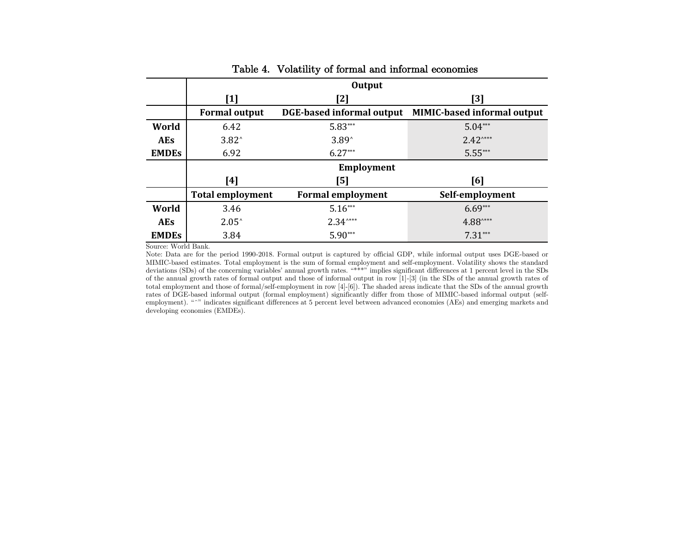|              |                         | <b>Output</b>             |                                    |
|--------------|-------------------------|---------------------------|------------------------------------|
|              | $[1]$                   | [2]                       | [3]                                |
|              | <b>Formal output</b>    | DGE-based informal output | <b>MIMIC-based informal output</b> |
| World        | 6.42                    | $5.83***$                 | $5.04***$                          |
| <b>AEs</b>   | $3.82^{\circ}$          | $3.89^{\circ}$            | $2.42***$                          |
| <b>EMDES</b> | 6.92                    | $6.27***$                 | $5.55***$                          |
|              |                         | <b>Employment</b>         |                                    |
|              | [4]                     | [5]                       | [6]                                |
|              | <b>Total employment</b> | <b>Formal employment</b>  | Self-employment                    |
| World        | 3.46                    | $5.16***$                 | $6.69***$                          |
| <b>AEs</b>   | $2.05^{\circ}$          | $2.34***$                 | $4.88$ <sup>****</sup>             |
| <b>EMDES</b> | 3.84                    | $5.90***$                 | $7.31***$                          |

### Table 4. Volatility of formal and informal economies

Source: World Bank.

Note: Data are for the period 1990-2018. Formal output is captured by official GDP, while informal output uses DGE-based or MIMIC-based estimates. Total employment is the sum of formal employment and self-employment. Volatility shows the standard deviations (SDs) of the concerning variables' annual growth rates. "\*\*\*" implies significant differences at 1 percent level in the SDs of the annual growth rates of formal output and those of informal output in row [1]-[3] (in the SDs of the annual growth rates of total employment and those of formal/self-employment in row [4]-[6]). The shaded areas indicate that the SDs of the annual growth rates of DGE-based informal output (formal employment) significantly differ from those of MIMIC-based informal output (selfemployment). "^" indicates significant differences at 5 percent level between advanced economies (AEs) and emerging markets and developing economies (EMDEs).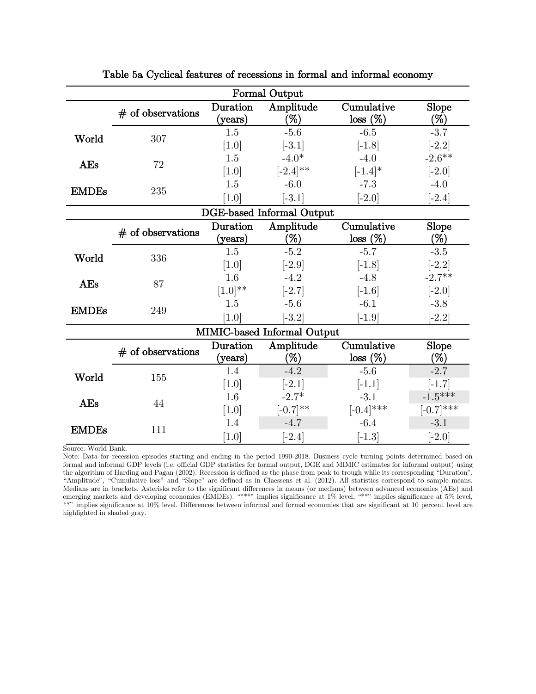|              | <b>Formal Output</b> |                             |                                  |                        |                           |  |  |
|--------------|----------------------|-----------------------------|----------------------------------|------------------------|---------------------------|--|--|
|              | $#$ of observations  | Duration<br>${\rm (years)}$ | Amplitude<br>$(\%)$              | Cumulative<br>loss (%) | Slope<br>$(\%)$           |  |  |
| World        | 307                  | 1.5<br>$[1.0]$              | $-5.6$<br>$[-3.1]$               | $-6.5$<br>$[-1.8]$     | $-3.7$<br>$[-2.2]$        |  |  |
| <b>AEs</b>   | 72                   | 1.5<br>$[1.0]$              | $-4.0*$<br>$[-2.4]^{**}$         | $-4.0$<br>$[-1.4]*$    | $-2.6**$<br>$[-2.0]$      |  |  |
| <b>EMDEs</b> | 235                  | 1.5<br>$[1.0]$              | $-6.0$<br>$[-3.1]$               | $-7.3$<br>$[-2.0]$     | $-4.0$<br>$[-2.4]$        |  |  |
|              |                      |                             | <b>DGE-based Informal Output</b> |                        |                           |  |  |
|              | $#$ of observations  | Duration<br>(years)         | Amplitude<br>$(\%)$              | Cumulative<br>loss (%) | Slope<br>$(\%)$           |  |  |
| World        | 336                  | 1.5<br>$[1.0]$              | $-5.2$<br>$[-2.9]$               | $-5.7$<br>$[-1.8]$     | $-3.5$<br>$[-2.2]$        |  |  |
| <b>AEs</b>   | 87                   | 1.6<br>$[1.0]^{**}$         | $-4.2$<br>$[-2.7]$               | $-4.8$<br>$[-1.6]$     | $-2.7**$<br>$[-2.0]$      |  |  |
| <b>EMDEs</b> | 249                  | 1.5<br>[1.0]                | $-5.6$<br>$[-3.2]$               | $-6.1$<br>$[-1.9]$     | $-3.8$<br>$[-2.2]$        |  |  |
|              |                      |                             | MIMIC-based Informal Output      |                        |                           |  |  |
|              | $#$ of observations  | Duration<br>${\rm (years)}$ | Amplitude<br>$(\%)$              | Cumulative<br>loss (%) | Slope<br>$(\%)$           |  |  |
| World        | 155                  | 1.4<br>[1.0]                | $-4.2$<br>$[-2.1]$               | $-5.6$<br>$[-1.1]$     | $-2.7$<br>$[-1.7]$        |  |  |
| <b>AEs</b>   | 44                   | 1.6<br>$[1.0]$              | $-2.7*$<br>$[-0.7]^{**}$         | $-3.1$<br>$[-0.4]$ *** | $-1.5***$<br>$[-0.7]$ *** |  |  |
| <b>EMDEs</b> | 111                  |                             | $-4.7$<br>$[-2.4]$               | $-6.4$<br>$[-1.3]$     | $-3.1$<br>$[-2.0]$        |  |  |

Table 5a Cyclical features of recessions in formal and informal economy

Source: World Bank.

Note: Data for recession episodes starting and ending in the period 1990-2018. Business cycle turning points determined based on formal and informal GDP levels (i.e. official GDP statistics for formal output, DGE and MIMIC estimates for informal output) using the algorithm of Harding and Pagan (2002). Recession is defined as the phase from peak to trough while its corresponding "Duration", "Amplitude", "Cumulative loss" and "Slope" are defined as in Claessens et al. (2012). All statistics correspond to sample means. Medians are in brackets. Asterisks refer to the significant differences in means (or medians) between advanced economies (AEs) and emerging markets and developing economies (EMDEs). "\*\*\*" implies significance at 1% level, "\*\*" implies significance at 5% level, "\*" implies significance at  $10\%$  level. Differences between informal and formal economies that are significant at 10 percent level are highlighted in shaded gray.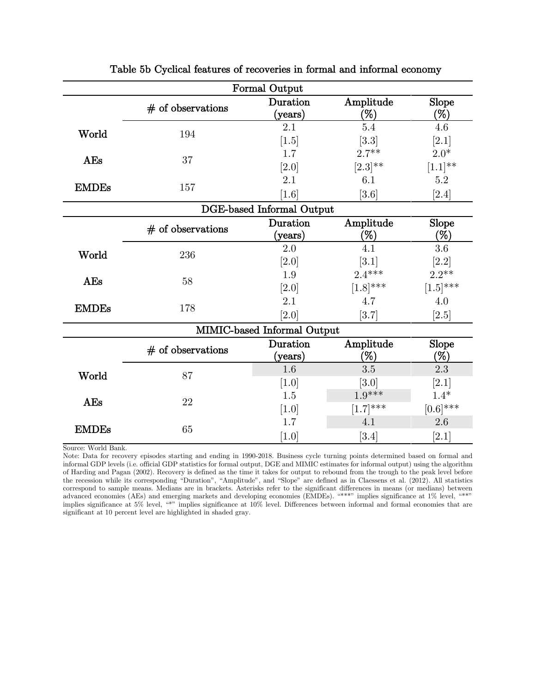|              | <b>Formal Output</b> |                                  |                     |                 |  |  |
|--------------|----------------------|----------------------------------|---------------------|-----------------|--|--|
|              | $#$ of observations  | Duration<br>${\rm (years)}$      | Amplitude<br>$(\%)$ | Slope<br>$(\%)$ |  |  |
| World        | 194                  | 2.1                              | 5.4                 | 4.6             |  |  |
|              |                      | $[1.5]$                          | $[3.3]$             | [2.1]           |  |  |
| <b>AEs</b>   | 37                   | 1.7                              | $2.7***$            | $2.0*$          |  |  |
|              |                      | $[2.0]$                          | $[2.3]^{**}$        | $[1.1]^{**}$    |  |  |
| <b>EMDEs</b> | 157                  | 2.1                              | 6.1                 | $5.2\,$         |  |  |
|              |                      | [1.6]                            | [3.6]               | $[2.4]$         |  |  |
|              |                      | <b>DGE-based Informal Output</b> |                     |                 |  |  |
|              | $#$ of observations  | Duration                         | Amplitude           | Slope           |  |  |
|              |                      | ${\rm (years)}$                  | $(\%)$              | (%)             |  |  |
| World        | 236                  | 2.0                              | 4.1                 | 3.6             |  |  |
|              |                      | $[2.0]$                          | [3.1]               | $[2.2]$         |  |  |
| <b>AEs</b>   | 58                   | 1.9                              | $2.4***$            | $2.2**$         |  |  |
|              |                      | $[2.0]$                          | $[1.8]$ ***         | $[1.5]$ ***     |  |  |
| <b>EMDEs</b> | 178                  | 2.1                              | 4.7                 | 4.0             |  |  |
|              |                      | [2.0]                            | [3.7]               | [2.5]           |  |  |
|              |                      | MIMIC-based Informal Output      |                     |                 |  |  |
|              | $#$ of observations  | Duration                         | Amplitude           | Slope           |  |  |
|              |                      | ${\rm (years)}$                  | $(\%)$              | $(\%)$          |  |  |
| World        | 87                   | 1.6                              | 3.5                 | 2.3             |  |  |
|              |                      | [1.0]                            | [3.0]               | [2.1]           |  |  |
| <b>AEs</b>   | 22                   | 1.5                              | $1.9***$            | $1.4*$          |  |  |
|              |                      | $[1.0]$                          | $[1.7]$ ***         | $[0.6]$ ***     |  |  |
| <b>EMDEs</b> | 65                   | 1.7                              | 4.1                 | 2.6             |  |  |
|              |                      | [1.0]                            | [3.4]               | [2.1]           |  |  |

Table 5b Cyclical features of recoveries in formal and informal economy

Source: World Bank.

Note: Data for recovery episodes starting and ending in 1990-2018. Business cycle turning points determined based on formal and informal GDP levels (i.e. official GDP statistics for formal output, DGE and MIMIC estimates for informal output) using the algorithm of Harding and Pagan (2002). Recovery is defined as the time it takes for output to rebound from the trough to the peak level before the recession while its corresponding "Duration", "Amplitude", and "Slope" are defined as in Claessens et al. (2012). All statistics correspond to sample means. Medians are in brackets. Asterisks refer to the significant differences in means (or medians) between advanced economies (AEs) and emerging markets and developing economies (EMDEs). "\*\*\*" implies significance at 1% level, "\*\*" implies significance at 5% level, "\*" implies significance at 10% level. Differences between informal and formal economies that are significant at 10 percent level are highlighted in shaded gray.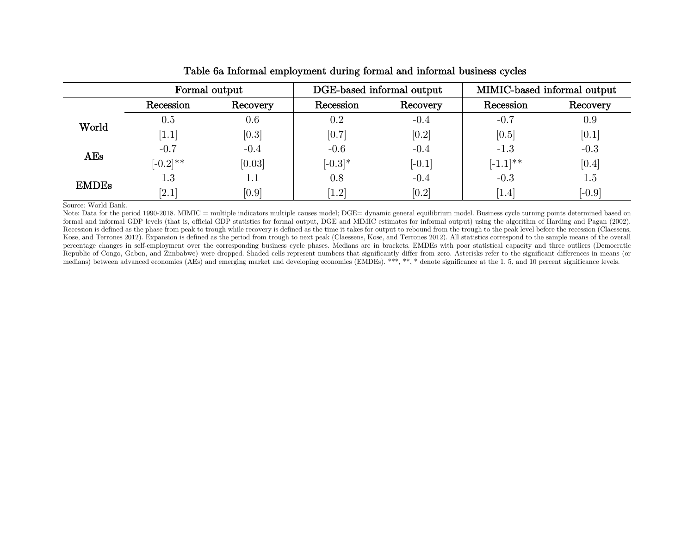|              | Formal output |          | DGE-based informal output |          | MIMIC-based informal output |          |  |
|--------------|---------------|----------|---------------------------|----------|-----------------------------|----------|--|
|              | Recession     | Recovery | Recession                 | Recovery | Recession                   | Recovery |  |
| World        | $0.5\,$       | 0.6      | 0.2                       | $-0.4$   | $-0.7$                      | 0.9      |  |
|              | 1.1           | [0.3]    | [0.7]                     | [0.2]    | [0.5]                       | [0.1]    |  |
| AEs          | $-0.7$        | $-0.4$   | $-0.6$                    | $-0.4$   | $-1.3$                      | $-0.3$   |  |
|              | $[-0.2]^{**}$ | [0.03]   | $[-0.3]*$                 | $[-0.1]$ | $[-1.1]^{**}$               | [0.4]    |  |
| <b>EMDEs</b> | $1.3\,$       | $1.1\,$  | 0.8                       | $-0.4$   | $-0.3$                      | 1.5      |  |
|              | [2.1]         | [0.9]    | [1.2]                     | [0.2]    | [1.4]                       | $[-0.9]$ |  |

### Table 6a Informal employment during formal and informal business cycles

Source: World Bank.

Note: Data for the period 1990-2018. MIMIC = multiple indicators multiple causes model; DGE= dynamic general equilibrium model. Business cycle turning points determined based on formal and informal GDP levels (that is, official GDP statistics for formal output, DGE and MIMIC estimates for informal output) using the algorithm of Harding and Pagan (2002). Recession is defined as the phase from peak to trough while recovery is defined as the time it takes for output to rebound from the trough to the peak level before the recession (Claessens, Kose, and Terrones 2012). Expansion is defined as the period from trough to next peak (Claessens, Kose, and Terrones 2012). All statistics correspond to the sample means of the overall percentage changes in self-employment over the corresponding business cycle phases. Medians are in brackets. EMDEs with poor statistical capacity and three outliers (Democratic Republic of Congo, Gabon, and Zimbabwe) were dropped. Shaded cells represent numbers that significantly differ from zero. Asterisks refer to the significant differences in means (or medians) between advanced economies (AEs) and emerging market and developing economies (EMDEs). \*\*\*, \*\*, and enote significance at the 1, 5, and 10 percent significance levels.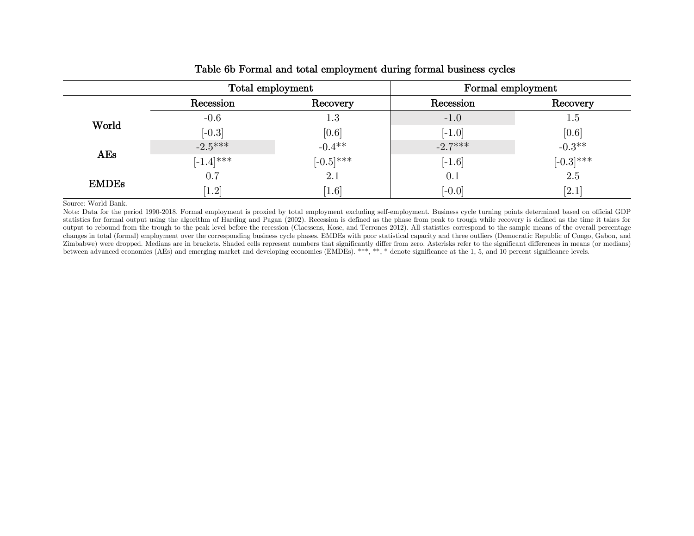|              | Total employment | Formal employment |           |                    |  |
|--------------|------------------|-------------------|-----------|--------------------|--|
|              | Recession        | Recovery          | Recession | Recovery           |  |
| World        | $-0.6$           | $1.3\,$           | $-1.0$    | $1.5\,$            |  |
|              | $[-0.3]$         | [0.6]             | $[-1.0]$  | [0.6]              |  |
| AEs          | $-2.5***$        | $-0.4**$          | $-2.7***$ | $-0.3**$           |  |
|              | $[-1.4]$ ***     | $[-0.5]$ ***      | $[-1.6]$  | $[-0.3]$ ***       |  |
| <b>EMDEs</b> | 0.7              | 2.1               | 0.1       | 2.5                |  |
|              | $[1.2]$          | [1.6]             | $[-0.0]$  | $\left[2.1\right]$ |  |

### Table 6b Formal and total employment during formal business cycles

Source: World Bank.

Note: Data for the period 1990-2018. Formal employment is proxied by total employment excluding self-employment. Business cycle turning points determined based on official GDP statistics for formal output using the algorithm of Harding and Pagan (2002). Recession is defined as the phase from peak to trough while recovery is defined as the time it takes for output to rebound from the trough to the peak level before the recession (Claessens, Kose, and Terrones 2012). All statistics correspond to the sample means of the overall percentage changes in total (formal) employment over the corresponding business cycle phases. EMDEs with poor statistical capacity and three outliers (Democratic Republic of Congo, Gabon, and Zimbabwe) were dropped. Medians are in brackets. Shaded cells represent numbers that significantly differ from zero. Asterisks refer to the significant differences in means (or medians) between advanced economies (AEs) and emerging market and developing economies (EMDEs). \*\*\*, \*\*, \* denote significance at the 1, 5, and 10 percent significance levels.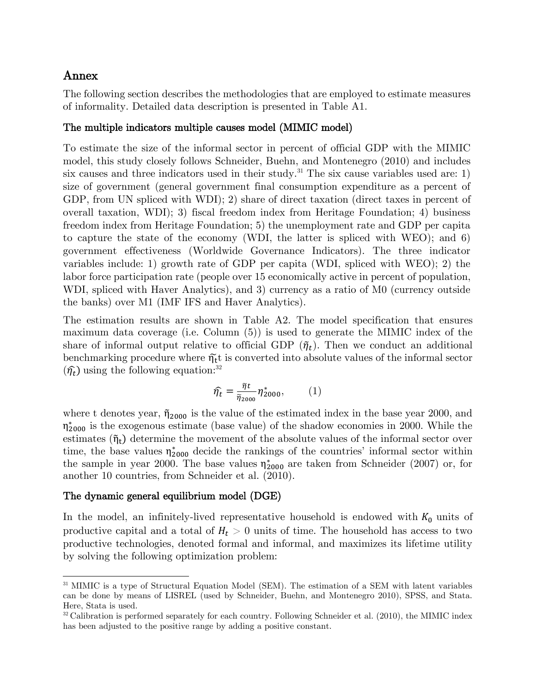# Annex

The following section describes the methodologies that are employed to estimate measures of informality. Detailed data description is presented in Table A1.

# The multiple indicators multiple causes model (MIMIC model)

To estimate the size of the informal sector in percent of official GDP with the MIMIC model, this study closely follows Schneider, Buehn, and Montenegro (2010) and includes six causes and three indicators used in their study.<sup>31</sup> The six cause variables used are: 1) size of government (general government final consumption expenditure as a percent of GDP, from UN spliced with WDI); 2) share of direct taxation (direct taxes in percent of overall taxation, WDI); 3) fiscal freedom index from Heritage Foundation; 4) business freedom index from Heritage Foundation; 5) the unemployment rate and GDP per capita to capture the state of the economy (WDI, the latter is spliced with WEO); and 6) government effectiveness (Worldwide Governance Indicators). The three indicator variables include: 1) growth rate of GDP per capita (WDI, spliced with WEO); 2) the labor force participation rate (people over 15 economically active in percent of population, WDI, spliced with Haver Analytics), and 3) currency as a ratio of M0 (currency outside the banks) over M1 (IMF IFS and Haver Analytics).

The estimation results are shown in Table A2. The model specification that ensures maximum data coverage (i.e. Column (5)) is used to generate the MIMIC index of the share of informal output relative to official GDP  $(\tilde{\eta}_t)$ . Then we conduct an additional benchmarking procedure where  $\tilde{\eta_t}$  is converted into absolute values of the informal sector  $(\hat{\eta}_t)$  using the following equation:<sup>32</sup>

$$
\widehat{\eta_t} = \frac{\widetilde{\eta}t}{\widetilde{\eta}_{2000}} \eta_{2000}^*,\tag{1}
$$

where t denotes year,  $\tilde{\eta}_{2000}$  is the value of the estimated index in the base year 2000, and  $\eta_{2000}^*$  is the exogenous estimate (base value) of the shadow economies in 2000. While the estimates  $(\tilde{\eta}_t)$  determine the movement of the absolute values of the informal sector over time, the base values  $\eta_{2000}^*$  decide the rankings of the countries' informal sector within the sample in year 2000. The base values  $\eta_{2000}^*$  are taken from Schneider (2007) or, for another 10 countries, from Schneider et al. (2010).

# The dynamic general equilibrium model (DGE)

In the model, an infinitely-lived representative household is endowed with  $K_0$  units of productive capital and a total of  $H_t > 0$  units of time. The household has access to two productive technologies, denoted formal and informal, and maximizes its lifetime utility by solving the following optimization problem:

<sup>&</sup>lt;sup>31</sup> MIMIC is a type of Structural Equation Model (SEM). The estimation of a SEM with latent variables can be done by means of LISREL (used by Schneider, Buehn, and Montenegro 2010), SPSS, and Stata. Here, Stata is used.

 $32$  Calibration is performed separately for each country. Following Schneider et al. (2010), the MIMIC index has been adjusted to the positive range by adding a positive constant.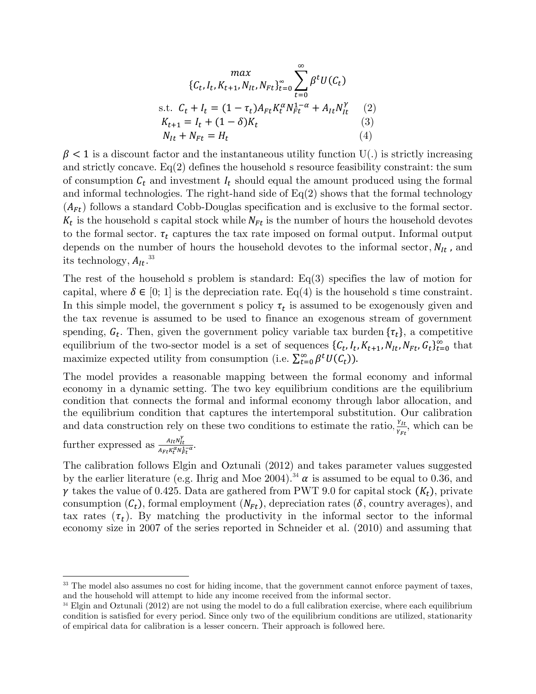$$
\max_{\{C_t, I_t, K_{t+1}, N_{It}, N_{Ft}\}_{t=0}^{\infty}} \sum_{t=0}^{\infty} \beta^t U(C_t)
$$
\ns.t.  $C_t + I_t = (1 - \tau_t) A_{Ft} K_t^{\alpha} N_{Ft}^{1-\alpha} + A_{It} N_{It}^{\gamma}$  (2)  
\n $K_{t+1} = I_t + (1 - \delta) K_t$  (3)  
\n $N_{It} + N_{Ft} = H_t$  (4)

 $\beta$  < 1 is a discount factor and the instantaneous utility function U(.) is strictly increasing and strictly concave.  $Eq(2)$  defines the household's resource feasibility constraint: the sum of consumption  $C_t$  and investment  $I_t$  should equal the amount produced using the formal and informal technologies. The right-hand side of  $Eq(2)$  shows that the formal technology  $(A_{Ft})$  follows a standard Cobb-Douglas specification and is exclusive to the formal sector.  $K_t$  is the household's capital stock while  $N_{Ft}$  is the number of hours the household devotes to the formal sector.  $\tau_t$  captures the tax rate imposed on formal output. Informal output depends on the number of hours the household devotes to the informal sector,  $N_{It}$ , and its technology,  $A_{It}$ .<sup>33</sup>

The rest of the household's problem is standard:  $Eq(3)$  specifies the law of motion for capital, where  $\delta \in [0; 1]$  is the depreciation rate. Eq(4) is the household s time constraint. In this simple model, the government s policy  $\tau_t$  is assumed to be exogenously given and the tax revenue is assumed to be used to finance an exogenous stream of government spending,  $G_t$ . Then, given the government policy variable tax burden  $\{\tau_t\}$ , a competitive equilibrium of the two-sector model is a set of sequences  $\{C_t, I_t, K_{t+1}, N_{lt}, N_{ft}, G_t\}_{t=0}^{\infty}$  that maximize expected utility from consumption (i.e.  $\sum_{t=0}^{\infty} \beta^t U(C_t)$ ).

The model provides a reasonable mapping between the formal economy and informal economy in a dynamic setting. The two key equilibrium conditions are the equilibrium condition that connects the formal and informal economy through labor allocation, and the equilibrium condition that captures the intertemporal substitution. Our calibration and data construction rely on these two conditions to estimate the ratio,  $\frac{Y_{lt}}{Y_{gt}}$  $\frac{Y_{It}}{Y_{Ft}}$ , which can be

further expressed as  $\frac{A_{lt}N_{lt}^{\gamma}}{A_{lt}N_{nt}^{\alpha}}$  $\frac{A_{It}N_{it}}{A_{Ft}K_t^{\alpha}N_{Ft}^{1-\alpha}}.$ 

The calibration follows Elgin and Oztunali (2012) and takes parameter values suggested by the earlier literature (e.g. Ihrig and Moe 2004).<sup>34</sup>  $\alpha$  is assumed to be equal to 0.36, and  $\gamma$  takes the value of 0.425. Data are gathered from PWT 9.0 for capital stock  $(K_t)$ , private consumption  $(C_t)$ , formal employment  $(N_{F_t})$ , depreciation rates  $(\delta$ , country averages), and tax rates  $(\tau_t)$ . By matching the productivity in the informal sector to the informal economy size in 2007 of the series reported in Schneider et al. (2010) and assuming that

<sup>&</sup>lt;sup>33</sup> The model also assumes no cost for hiding income, that the government cannot enforce payment of taxes, and the household will attempt to hide any income received from the informal sector.

<sup>&</sup>lt;sup>34</sup> Elgin and Oztunali (2012) are not using the model to do a full calibration exercise, where each equilibrium condition is satisfied for every period. Since only two of the equilibrium conditions are utilized, stationarity of empirical data for calibration is a lesser concern. Their approach is followed here.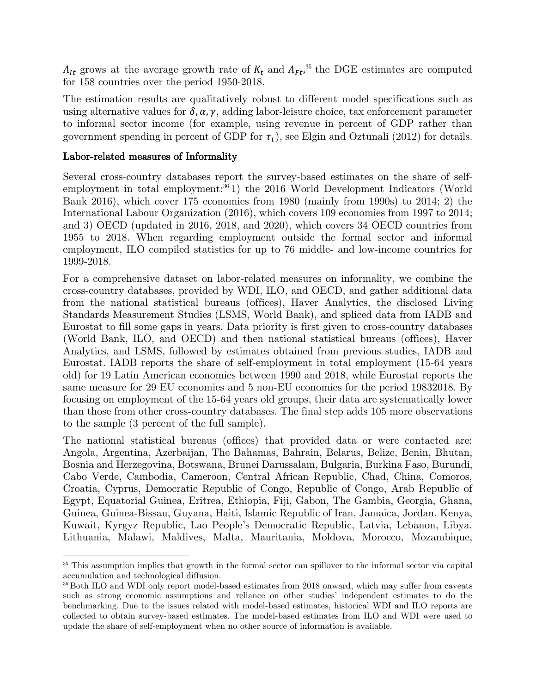$A_{It}$  grows at the average growth rate of  $K_t$  and  $A_{Ft}$ ,<sup>35</sup> the DGE estimates are computed for 158 countries over the period 1950-2018.

The estimation results are qualitatively robust to different model specifications such as using alternative values for  $\delta$ ,  $\alpha$ ,  $\gamma$ , adding labor-leisure choice, tax enforcement parameter to informal sector income (for example, using revenue in percent of GDP rather than government spending in percent of GDP for  $\tau_t$ ), see Elgin and Oztunali (2012) for details.

### Labor-related measures of Informality

Several cross-country databases report the survey-based estimates on the share of selfemployment in total employment: $361$ ) the 2016 World Development Indicators (World Bank 2016), which cover 175 economies from 1980 (mainly from 1990s) to 2014; 2) the International Labour Organization (2016), which covers 109 economies from 1997 to 2014; and 3) OECD (updated in 2016, 2018, and 2020), which covers 34 OECD countries from 1955 to 2018. When regarding employment outside the formal sector and informal employment, ILO compiled statistics for up to 76 middle- and low-income countries for 1999-2018.

For a comprehensive dataset on labor-related measures on informality, we combine the cross-country databases, provided by WDI, ILO, and OECD, and gather additional data from the national statistical bureaus (offices), Haver Analytics, the disclosed Living Standards Measurement Studies (LSMS, World Bank), and spliced data from IADB and Eurostat to fill some gaps in years. Data priority is first given to cross-country databases (World Bank, ILO, and OECD) and then national statistical bureaus (offices), Haver Analytics, and LSMS, followed by estimates obtained from previous studies, IADB and Eurostat. IADB reports the share of self-employment in total employment (15-64 years old) for 19 Latin American economies between 1990 and 2018, while Eurostat reports the same measure for 29 EU economies and 5 non-EU economies for the period 19832018. By focusing on employment of the 15-64 years old groups, their data are systematically lower than those from other cross-country databases. The final step adds 105 more observations to the sample (3 percent of the full sample).

The national statistical bureaus (offices) that provided data or were contacted are: Angola, Argentina, Azerbaijan, The Bahamas, Bahrain, Belarus, Belize, Benin, Bhutan, Bosnia and Herzegovina, Botswana, Brunei Darussalam, Bulgaria, Burkina Faso, Burundi, Cabo Verde, Cambodia, Cameroon, Central African Republic, Chad, China, Comoros, Croatia, Cyprus, Democratic Republic of Congo, Republic of Congo, Arab Republic of Egypt, Equatorial Guinea, Eritrea, Ethiopia, Fiji, Gabon, The Gambia, Georgia, Ghana, Guinea, Guinea-Bissau, Guyana, Haiti, Islamic Republic of Iran, Jamaica, Jordan, Kenya, Kuwait, Kyrgyz Republic, Lao People's Democratic Republic, Latvia, Lebanon, Libya, Lithuania, Malawi, Maldives, Malta, Mauritania, Moldova, Morocco, Mozambique,

<sup>&</sup>lt;sup>35</sup> This assumption implies that growth in the formal sector can spillover to the informal sector via capital accumulation and technological diffusion.

<sup>&</sup>lt;sup>36</sup> Both ILO and WDI only report model-based estimates from 2018 onward, which may suffer from caveats such as strong economic assumptions and reliance on other studies' independent estimates to do the benchmarking. Due to the issues related with model-based estimates, historical WDI and ILO reports are collected to obtain survey-based estimates. The model-based estimates from ILO and WDI were used to update the share of self-employment when no other source of information is available.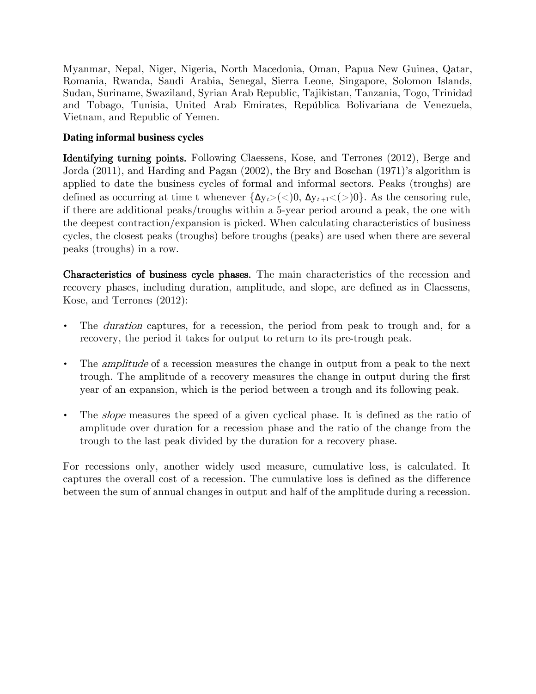Myanmar, Nepal, Niger, Nigeria, North Macedonia, Oman, Papua New Guinea, Qatar, Romania, Rwanda, Saudi Arabia, Senegal, Sierra Leone, Singapore, Solomon Islands, Sudan, Suriname, Swaziland, Syrian Arab Republic, Tajikistan, Tanzania, Togo, Trinidad and Tobago, Tunisia, United Arab Emirates, República Bolivariana de Venezuela, Vietnam, and Republic of Yemen.

# **Dating informal business cycles**

Identifying turning points. Following Claessens, Kose, and Terrones (2012), Berge and Jorda (2011), and Harding and Pagan (2002), the Bry and Boschan (1971)'s algorithm is applied to date the business cycles of formal and informal sectors. Peaks (troughs) are defined as occurring at time t whenever  $\{\Delta y_t > (<0, \Delta y_{t+1} < (>)0\}$ . As the censoring rule, if there are additional peaks/troughs within a 5-year period around a peak, the one with the deepest contraction/expansion is picked. When calculating characteristics of business cycles, the closest peaks (troughs) before troughs (peaks) are used when there are several peaks (troughs) in a row.

Characteristics of business cycle phases. The main characteristics of the recession and recovery phases, including duration, amplitude, and slope, are defined as in Claessens, Kose, and Terrones (2012):

- The *duration* captures, for a recession, the period from peak to trough and, for a recovery, the period it takes for output to return to its pre-trough peak.
- The *amplitude* of a recession measures the change in output from a peak to the next trough. The amplitude of a recovery measures the change in output during the first year of an expansion, which is the period between a trough and its following peak.
- The *slope* measures the speed of a given cyclical phase. It is defined as the ratio of amplitude over duration for a recession phase and the ratio of the change from the trough to the last peak divided by the duration for a recovery phase.

For recessions only, another widely used measure, cumulative loss, is calculated. It captures the overall cost of a recession. The cumulative loss is defined as the difference between the sum of annual changes in output and half of the amplitude during a recession.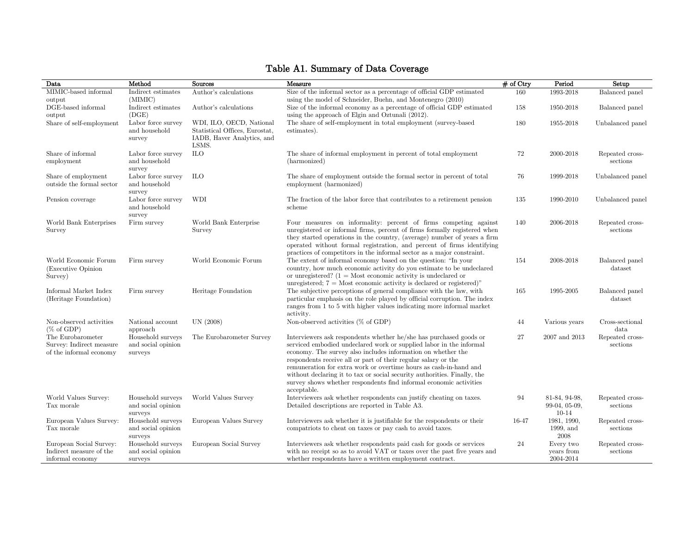### Data Method Sources Measure # of Ctry Period Setup MIMIC-based informal output Indirect estimates (MIMIC) Author's calculations Size of the informal sector as a percentage of official GDP estimated using the model of Schneider, Buehn, and Montenegro (2010) 160 1993-2018 Balanced panel DGE-based informal output Indirect estimates (DGE) Author's calculations Size of the informal economy as a percentage of official GDP estimated using the approach of Elgin and Oztunali (2012). 158 1950-2018 Balanced panel Share of self-employment Labor force survey and household survey WDI, ILO, OECD, National Statistical Offices, Eurostat, IADB, Haver Analytics, and LSMS. The share of self-employment in total employment (survey-based estimates). 180 1955-2018 Unbalanced panel Share of informal employment Labor force survey and household survey ILO The share of informal employment in percent of total employment (harmonized) 72 2000-2018 Repeated crosssections Share of employment outside the formal sector Labor force survey and household survey ILO The share of employment outside the formal sector in percent of total employment (harmonized) 76 1999-2018 Unbalanced panel Pension coverage Labor force survey and household survey WDI The fraction of the labor force that contributes to a retirement pension scheme 135 1990-2010 Unbalanced panel World Bank Enterprises Survey Firm survey World Bank Enterprise Survey Four measures on informality: percent of firms competing against unregistered or informal firms, percent of firms formally registered when they started operations in the country, (average) number of years a firm operated without formal registration, and percent of firms identifying practices of competitors in the informal sector as a major constraint. 140 2006-2018 Repeated crosssections World Economic Forum (Executive Opinion Survey) Firm survey World Economic Forum The extent of informal economy based on the question: "In your country, how much economic activity do you estimate to be undeclared or unregistered?  $(1 = \text{Most economic activity is undeclared or})$ unregistered;  $7 =$  Most economic activity is declared or registered)" 154 2008-2018 Balanced panel dataset Informal Market Index (Heritage Foundation) Firm survey Heritage Foundation The subjective perceptions of general compliance with the law, with particular emphasis on the role played by official corruption. The index ranges from 1 to 5 with higher values indicating more informal market activity. 165 1995-2005 Balanced panel dataset Non-observed activities (% of GDP) National account approach UN (2008) Non-observed activities (% of GDP) 44 Various years Cross-sectional data The Eurobarometer Survey: Indirect measure of the informal economy Household surveys and social opinion surveys The Eurobarometer Survey Interviewers ask respondents whether he/she has purchased goods or serviced embodied undeclared work or supplied labor in the informal economy. The survey also includes information on whether the respondents receive all or part of their regular salary or the remuneration for extra work or overtime hours as cash-in-hand and without declaring it to tax or social security authorities. Finally, the survey shows whether respondents find informal economic activities acceptable. 27 2007 and 2013 Repeated crosssections World Values Survey: Tax morale Household surveys and social opinion surveys World Values Survey Interviewers ask whether respondents can justify cheating on taxes. Detailed descriptions are reported in Table A3. 94 81-84, 94-98, 99-04, 05-09, 10-14 Repeated crosssections European Values Survey: Tax morale Household surveys and social opinion surveys European Values Survey Interviewers ask whether it is justifiable for the respondents or their compatriots to cheat on taxes or pay cash to avoid taxes. 16-47 1981, 1990, 1999, and 2008 Repeated crosssections European Social Survey: Indirect measure of the informal economy Household surveys and social opinion surveys European Social Survey Interviewers ask whether respondents paid cash for goods or services with no receipt so as to avoid VAT or taxes over the past five years and whether respondents have a written employment contract. 24 Every two years from 2004-2014 Repeated crosssections

### Table A1. Summary of Data Coverage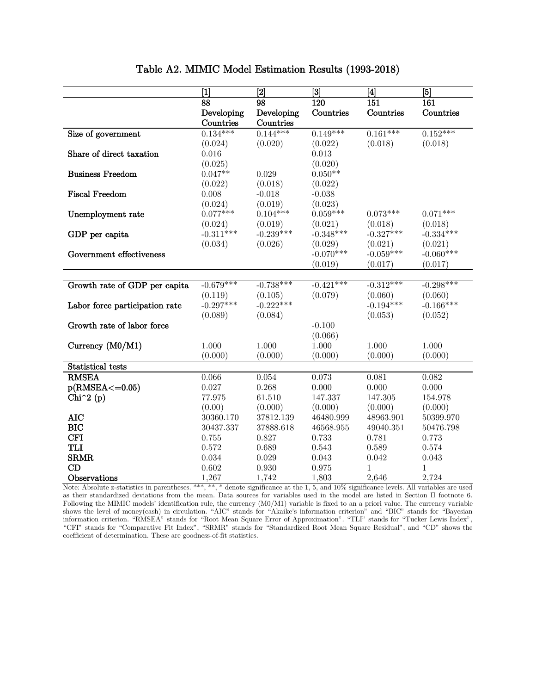|                                  | $\overline{1}$ | $\overline{[2]}$ | $\overline{[3]}$ | $\overline{\mathbf{A}}$ | $ \mathbf{5} $ |
|----------------------------------|----------------|------------------|------------------|-------------------------|----------------|
|                                  | 88             | 98               | 120              | 151                     | 161            |
|                                  | Developing     | Developing       | Countries        | Countries               | Countries      |
|                                  | Countries      | Countries        |                  |                         |                |
| Size of government               | $0.134***$     | $0.144***$       | $0.149***$       | $0.161***$              | $0.152***$     |
|                                  | (0.024)        | (0.020)          | (0.022)          | (0.018)                 | (0.018)        |
| Share of direct taxation         | 0.016          |                  | 0.013            |                         |                |
|                                  | (0.025)        |                  | (0.020)          |                         |                |
| <b>Business Freedom</b>          | $0.047**$      | 0.029            | $0.050**$        |                         |                |
|                                  | (0.022)        | (0.018)          | (0.022)          |                         |                |
| <b>Fiscal Freedom</b>            | 0.008          | $-0.018$         | $-0.038$         |                         |                |
|                                  | (0.024)        | (0.019)          | (0.023)          |                         |                |
| Unemployment rate                | $0.077***$     | $0.104***$       | $0.059***$       | $0.073***$              | $0.071***$     |
|                                  | (0.024)        | (0.019)          | (0.021)          | (0.018)                 | (0.018)        |
| GDP per capita                   | $-0.311***$    | $-0.239***$      | $-0.348***$      | $-0.327***$             | $-0.334***$    |
|                                  | (0.034)        | (0.026)          | (0.029)          | (0.021)                 | (0.021)        |
| Government effectiveness         |                |                  | $-0.070***$      | $-0.059***$             | $-0.060***$    |
|                                  |                |                  | (0.019)          | (0.017)                 | (0.017)        |
|                                  |                |                  |                  |                         |                |
| Growth rate of GDP per capita    | $-0.679***$    | $-0.738***$      | $-0.421***$      | $-0.312***$             | $-0.298***$    |
|                                  | (0.119)        | (0.105)          | (0.079)          | (0.060)                 | (0.060)        |
| Labor force participation rate   | $-0.297***$    | $-0.222***$      |                  | $-0.194***$             | $-0.166***$    |
|                                  | (0.089)        | (0.084)          |                  | (0.053)                 | (0.052)        |
| Growth rate of labor force       |                |                  | $-0.100$         |                         |                |
|                                  |                |                  | (0.066)          |                         |                |
| Currency (M0/M1)                 | 1.000          | 1.000            | 1.000            | 1.000                   | 1.000          |
|                                  | (0.000)        | (0.000)          | (0.000)          | (0.000)                 | (0.000)        |
| Statistical tests                |                |                  |                  |                         |                |
| <b>RMSEA</b>                     | 0.066          | 0.054            | 0.073            | 0.081                   | 0.082          |
| $p(RMSEA < = 0.05)$              | 0.027          | 0.268            | 0.000            | 0.000                   | 0.000          |
| Chi <sup><math>2(p)</math></sup> | 77.975         | 61.510           | 147.337          | 147.305                 | 154.978        |
|                                  | (0.00)         | (0.000)          | (0.000)          | (0.000)                 | (0.000)        |
| <b>AIC</b>                       | 30360.170      | 37812.139        | 46480.999        | 48963.901               | 50399.970      |
| <b>BIC</b>                       | 30437.337      | 37888.618        | 46568.955        | 49040.351               | 50476.798      |
| <b>CFI</b>                       | 0.755          | 0.827            | 0.733            | 0.781                   | 0.773          |
| <b>TLI</b>                       | 0.572          | 0.689            | 0.543            | 0.589                   | 0.574          |
| <b>SRMR</b>                      | 0.034          | 0.029            | 0.043            | 0.042                   | 0.043          |
| CD                               | 0.602          | 0.930            | $\rm 0.975$      | 1                       | 1              |
| Observations                     | 1,267          | 1,742            | 1,803            | 2,646                   | 2,724          |

# Table A2. MIMIC Model Estimation Results (1993-2018)

Note: Absolute z-statistics in parentheses. \*\*\*, \*\*, \* denote significance at the 1, 5, and 10% significance levels. All variables are used as their standardized deviations from the mean. Data sources for variables used in the model are listed in Section II footnote 6. Following the MIMIC models' identification rule, the currency (M0/M1) variable is fixed to an a priori value. The currency variable shows the level of money(cash) in circulation. "AIC" stands for "Akaike's information criterion" and "BIC" stands for "Bayesian information criterion. "RMSEA" stands for "Root Mean Square Error of Approximation". "TLI" stands for "Tucker Lewis Index", "CFI" stands for "Comparative Fit Index", "SRMR" stands for "Standardized Root Mean Square Residual", and "CD" shows the coefficient of determination. These are goodness-of-fit statistics.